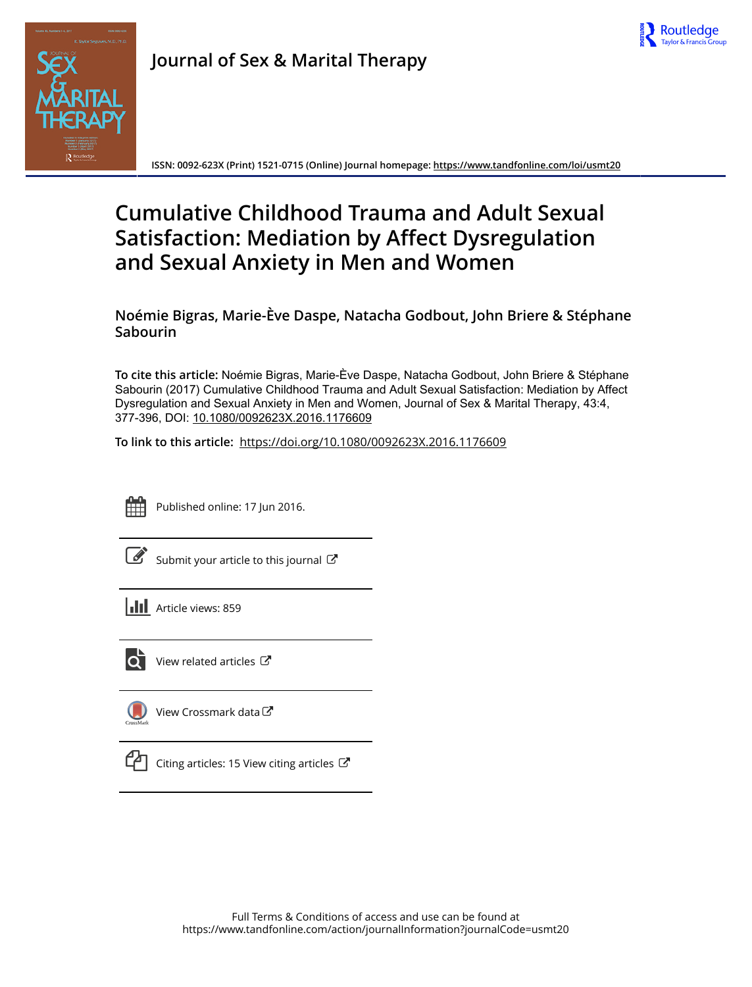

**Journal of Sex & Marital Therapy**

**ISSN: 0092-623X (Print) 1521-0715 (Online) Journal homepage: <https://www.tandfonline.com/loi/usmt20>**

# **Cumulative Childhood Trauma and Adult Sexual Satisfaction: Mediation by Affect Dysregulation and Sexual Anxiety in Men and Women**

**Noémie Bigras, Marie-Ève Daspe, Natacha Godbout, John Briere & Stéphane Sabourin**

**To cite this article:** Noémie Bigras, Marie-Ève Daspe, Natacha Godbout, John Briere & Stéphane Sabourin (2017) Cumulative Childhood Trauma and Adult Sexual Satisfaction: Mediation by Affect Dysregulation and Sexual Anxiety in Men and Women, Journal of Sex & Marital Therapy, 43:4, 377-396, DOI: [10.1080/0092623X.2016.1176609](https://www.tandfonline.com/action/showCitFormats?doi=10.1080/0092623X.2016.1176609)

**To link to this article:** <https://doi.org/10.1080/0092623X.2016.1176609>



Published online: 17 Jun 2016.

[Submit your article to this journal](https://www.tandfonline.com/action/authorSubmission?journalCode=usmt20&show=instructions)  $\mathbb{Z}$ 

**III** Article views: 859



[View related articles](https://www.tandfonline.com/doi/mlt/10.1080/0092623X.2016.1176609)  $\mathbb{Z}$ 



[View Crossmark data](http://crossmark.crossref.org/dialog/?doi=10.1080/0092623X.2016.1176609&domain=pdf&date_stamp=2016-06-17)<sup>C</sup>



[Citing articles: 15 View citing articles](https://www.tandfonline.com/doi/citedby/10.1080/0092623X.2016.1176609#tabModule)  $\mathbb{Z}$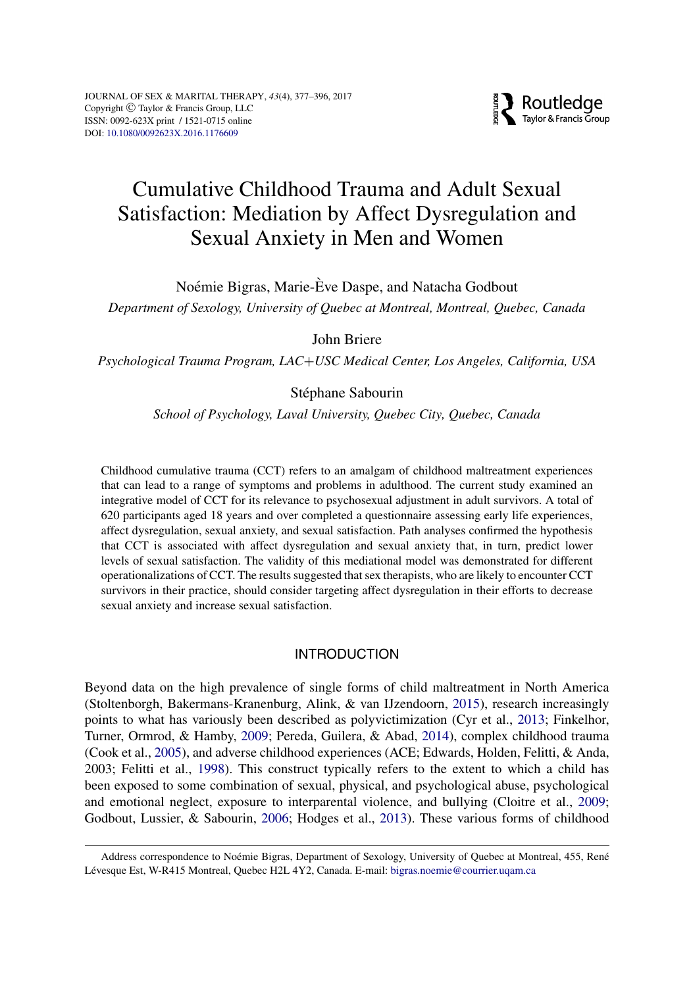

# Cumulative Childhood Trauma and Adult Sexual Satisfaction: Mediation by Affect Dysregulation and Sexual Anxiety in Men and Women

Noémie Bigras, Marie-Ève Daspe, and Natacha Godbout *Department of Sexology, University of Quebec at Montreal, Montreal, Quebec, Canada*

John Briere

*Psychological Trauma Program, LAC*+*USC Medical Center, Los Angeles, California, USA*

Stéphane Sabourin

*School of Psychology, Laval University, Quebec City, Quebec, Canada*

Childhood cumulative trauma (CCT) refers to an amalgam of childhood maltreatment experiences that can lead to a range of symptoms and problems in adulthood. The current study examined an integrative model of CCT for its relevance to psychosexual adjustment in adult survivors. A total of 620 participants aged 18 years and over completed a questionnaire assessing early life experiences, affect dysregulation, sexual anxiety, and sexual satisfaction. Path analyses confirmed the hypothesis that CCT is associated with affect dysregulation and sexual anxiety that, in turn, predict lower levels of sexual satisfaction. The validity of this mediational model was demonstrated for different operationalizations of CCT. The results suggested that sex therapists, who are likely to encounter CCT survivors in their practice, should consider targeting affect dysregulation in their efforts to decrease sexual anxiety and increase sexual satisfaction.

# INTRODUCTION

Beyond data on the high prevalence of single forms of child maltreatment in North America (Stoltenborgh, Bakermans-Kranenburg, Alink, & van IJzendoorn, [2015\)](#page-20-0), research increasingly points to what has variously been described as polyvictimization (Cyr et al., [2013;](#page-17-0) Finkelhor, Turner, Ormrod, & Hamby, [2009;](#page-18-0) Pereda, Guilera, & Abad, [2014\)](#page-19-0), complex childhood trauma (Cook et al., [2005\)](#page-17-1), and adverse childhood experiences (ACE; Edwards, Holden, Felitti, & Anda, 2003; Felitti et al., [1998\)](#page-18-1). This construct typically refers to the extent to which a child has been exposed to some combination of sexual, physical, and psychological abuse, psychological and emotional neglect, exposure to interparental violence, and bullying (Cloitre et al., [2009;](#page-17-2) Godbout, Lussier, & Sabourin, [2006;](#page-18-2) Hodges et al., [2013\)](#page-19-1). These various forms of childhood

Address correspondence to Noémie Bigras, Department of Sexology, University of Quebec at Montreal, 455, René Lévesque Est, W-R415 Montreal, Quebec H2L 4Y2, Canada. E-mail: [bigras.noemie@courrier.uqam.ca](mailto:bigras.noemie@courrier.uqam.ca)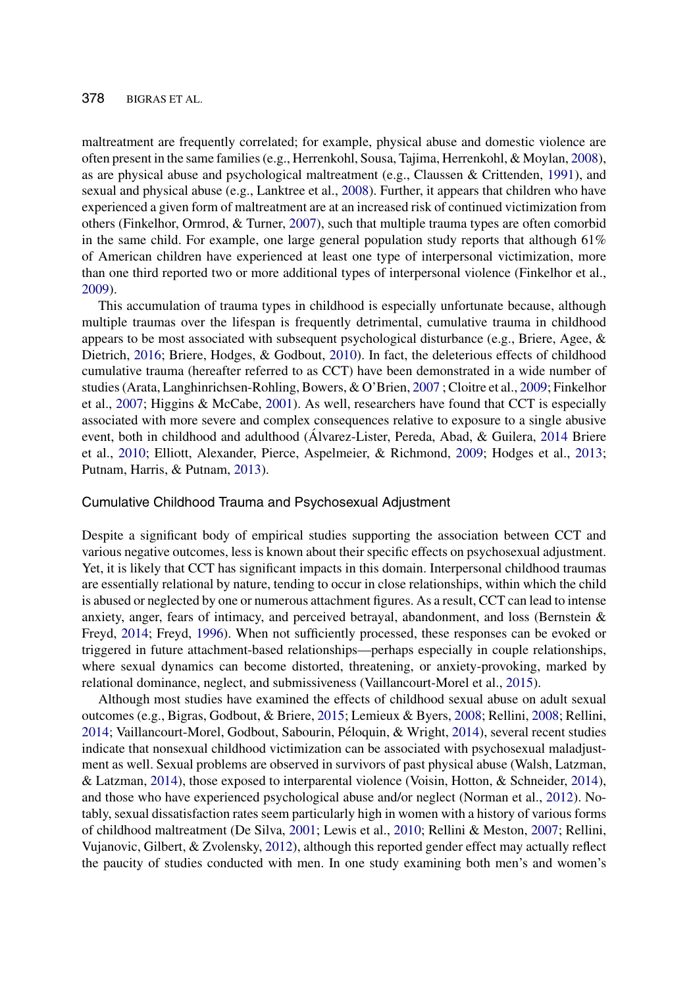maltreatment are frequently correlated; for example, physical abuse and domestic violence are often present in the same families (e.g., Herrenkohl, Sousa, Tajima, Herrenkohl, & Moylan, [2008\)](#page-18-3), as are physical abuse and psychological maltreatment (e.g., Claussen & Crittenden, [1991\)](#page-17-3), and sexual and physical abuse (e.g., Lanktree et al., [2008\)](#page-19-2). Further, it appears that children who have experienced a given form of maltreatment are at an increased risk of continued victimization from others (Finkelhor, Ormrod, & Turner, [2007\)](#page-18-4), such that multiple trauma types are often comorbid in the same child. For example, one large general population study reports that although 61% of American children have experienced at least one type of interpersonal victimization, more than one third reported two or more additional types of interpersonal violence (Finkelhor et al., [2009\)](#page-18-0).

This accumulation of trauma types in childhood is especially unfortunate because, although multiple traumas over the lifespan is frequently detrimental, cumulative trauma in childhood appears to be most associated with subsequent psychological disturbance (e.g., Briere, Agee, & Dietrich, [2016;](#page-17-4) Briere, Hodges, & Godbout, [2010\)](#page-17-5). In fact, the deleterious effects of childhood cumulative trauma (hereafter referred to as CCT) have been demonstrated in a wide number of studies (Arata, Langhinrichsen-Rohling, Bowers, & O'Brien, [2007](#page-17-6) ; Cloitre et al., [2009;](#page-17-2) Finkelhor et al., [2007;](#page-18-4) Higgins & McCabe, [2001\)](#page-19-3). As well, researchers have found that CCT is especially associated with more severe and complex consequences relative to exposure to a single abusive event, both in childhood and adulthood (Alvarez-Lister, Pereda, Abad, & Guilera, [2014](#page-16-0) Briere et al., [2010;](#page-17-5) Elliott, Alexander, Pierce, Aspelmeier, & Richmond, [2009;](#page-18-5) Hodges et al., [2013;](#page-19-1) Putnam, Harris, & Putnam, [2013\)](#page-19-4).

#### Cumulative Childhood Trauma and Psychosexual Adjustment

Despite a significant body of empirical studies supporting the association between CCT and various negative outcomes, less is known about their specific effects on psychosexual adjustment. Yet, it is likely that CCT has significant impacts in this domain. Interpersonal childhood traumas are essentially relational by nature, tending to occur in close relationships, within which the child is abused or neglected by one or numerous attachment figures. As a result, CCT can lead to intense anxiety, anger, fears of intimacy, and perceived betrayal, abandonment, and loss (Bernstein & Freyd, [2014;](#page-17-7) Freyd, [1996\)](#page-18-6). When not sufficiently processed, these responses can be evoked or triggered in future attachment-based relationships—perhaps especially in couple relationships, where sexual dynamics can become distorted, threatening, or anxiety-provoking, marked by relational dominance, neglect, and submissiveness (Vaillancourt-Morel et al., [2015\)](#page-20-1).

Although most studies have examined the effects of childhood sexual abuse on adult sexual outcomes (e.g., Bigras, Godbout, & Briere, [2015;](#page-17-8) Lemieux & Byers, [2008;](#page-19-5) Rellini, [2008;](#page-20-2) Rellini, [2014;](#page-20-3) Vaillancourt-Morel, Godbout, Sabourin, Péloquin, & Wright, [2014\)](#page-20-4), several recent studies indicate that nonsexual childhood victimization can be associated with psychosexual maladjustment as well. Sexual problems are observed in survivors of past physical abuse (Walsh, Latzman, & Latzman, [2014\)](#page-20-5), those exposed to interparental violence (Voisin, Hotton, & Schneider, [2014\)](#page-20-6), and those who have experienced psychological abuse and/or neglect (Norman et al., [2012\)](#page-19-6). Notably, sexual dissatisfaction rates seem particularly high in women with a history of various forms of childhood maltreatment (De Silva, [2001;](#page-18-7) Lewis et al., [2010;](#page-19-7) Rellini & Meston, [2007;](#page-20-7) Rellini, Vujanovic, Gilbert, & Zvolensky, [2012\)](#page-20-8), although this reported gender effect may actually reflect the paucity of studies conducted with men. In one study examining both men's and women's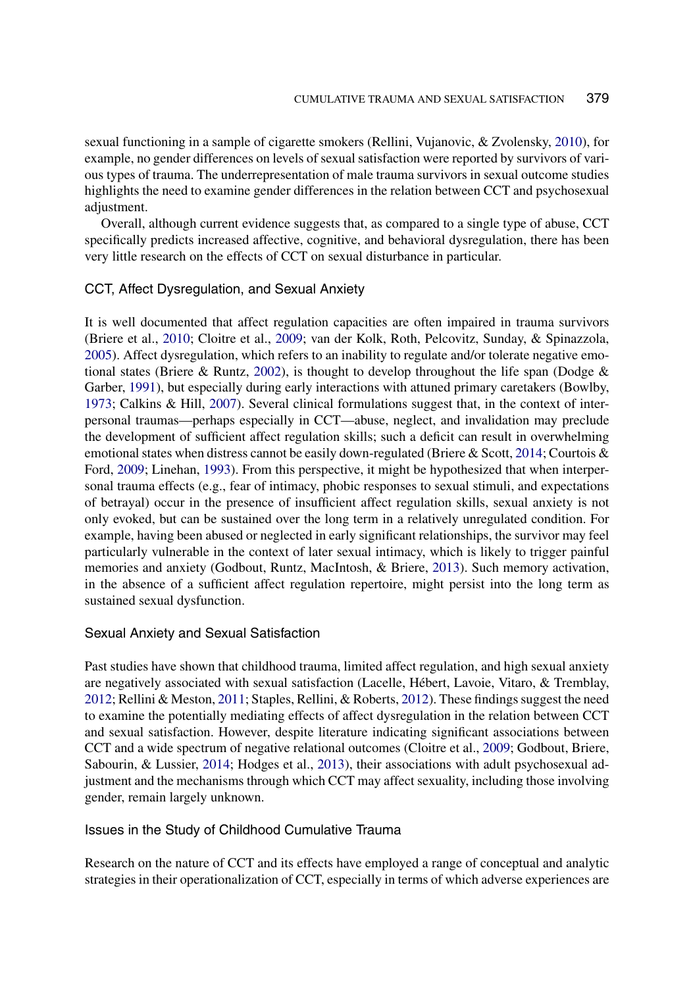sexual functioning in a sample of cigarette smokers (Rellini, Vujanovic, & Zvolensky, [2010\)](#page-20-9), for example, no gender differences on levels of sexual satisfaction were reported by survivors of various types of trauma. The underrepresentation of male trauma survivors in sexual outcome studies highlights the need to examine gender differences in the relation between CCT and psychosexual adjustment.

Overall, although current evidence suggests that, as compared to a single type of abuse, CCT specifically predicts increased affective, cognitive, and behavioral dysregulation, there has been very little research on the effects of CCT on sexual disturbance in particular.

# CCT, Affect Dysregulation, and Sexual Anxiety

It is well documented that affect regulation capacities are often impaired in trauma survivors (Briere et al., [2010;](#page-17-5) Cloitre et al., [2009;](#page-17-2) van der Kolk, Roth, Pelcovitz, Sunday, & Spinazzola, [2005\)](#page-20-10). Affect dysregulation, which refers to an inability to regulate and/or tolerate negative emo-tional states (Briere & Runtz, [2002\)](#page-17-9), is thought to develop throughout the life span (Dodge  $\&$ Garber, [1991\)](#page-18-8), but especially during early interactions with attuned primary caretakers (Bowlby, [1973;](#page-17-10) Calkins & Hill, [2007\)](#page-17-11). Several clinical formulations suggest that, in the context of interpersonal traumas—perhaps especially in CCT—abuse, neglect, and invalidation may preclude the development of sufficient affect regulation skills; such a deficit can result in overwhelming emotional states when distress cannot be easily down-regulated (Briere & Scott, [2014;](#page-17-12) Courtois & Ford, [2009;](#page-17-13) Linehan, [1993\)](#page-19-8). From this perspective, it might be hypothesized that when interpersonal trauma effects (e.g., fear of intimacy, phobic responses to sexual stimuli, and expectations of betrayal) occur in the presence of insufficient affect regulation skills, sexual anxiety is not only evoked, but can be sustained over the long term in a relatively unregulated condition. For example, having been abused or neglected in early significant relationships, the survivor may feel particularly vulnerable in the context of later sexual intimacy, which is likely to trigger painful memories and anxiety (Godbout, Runtz, MacIntosh, & Briere, [2013\)](#page-17-8). Such memory activation, in the absence of a sufficient affect regulation repertoire, might persist into the long term as sustained sexual dysfunction.

# Sexual Anxiety and Sexual Satisfaction

Past studies have shown that childhood trauma, limited affect regulation, and high sexual anxiety are negatively associated with sexual satisfaction (Lacelle, Hebert, Lavoie, Vitaro, & Tremblay, ´ [2012;](#page-19-9) Rellini & Meston, [2011;](#page-20-11) Staples, Rellini, & Roberts, [2012\)](#page-20-12). These findings suggest the need to examine the potentially mediating effects of affect dysregulation in the relation between CCT and sexual satisfaction. However, despite literature indicating significant associations between CCT and a wide spectrum of negative relational outcomes (Cloitre et al., [2009;](#page-17-2) Godbout, Briere, Sabourin, & Lussier, [2014;](#page-18-9) Hodges et al., [2013\)](#page-19-1), their associations with adult psychosexual adjustment and the mechanisms through which CCT may affect sexuality, including those involving gender, remain largely unknown.

# Issues in the Study of Childhood Cumulative Trauma

Research on the nature of CCT and its effects have employed a range of conceptual and analytic strategies in their operationalization of CCT, especially in terms of which adverse experiences are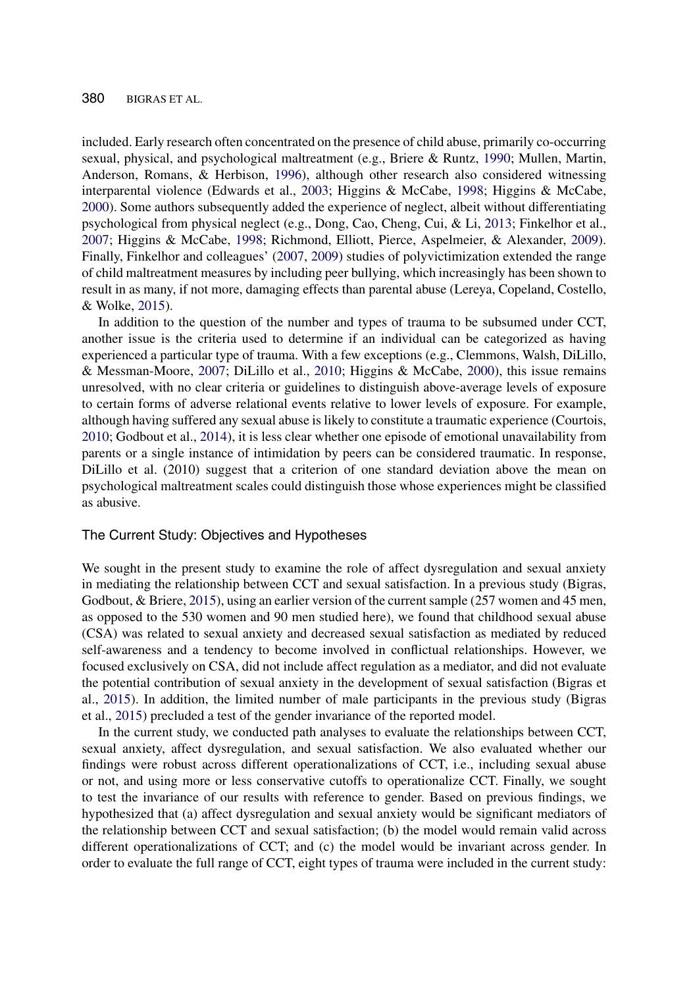included. Early research often concentrated on the presence of child abuse, primarily co-occurring sexual, physical, and psychological maltreatment (e.g., Briere & Runtz, [1990;](#page-17-14) Mullen, Martin, Anderson, Romans, & Herbison, [1996\)](#page-19-10), although other research also considered witnessing interparental violence (Edwards et al., [2003;](#page-18-10) Higgins & McCabe, [1998;](#page-18-11) Higgins & McCabe, [2000\)](#page-18-12). Some authors subsequently added the experience of neglect, albeit without differentiating psychological from physical neglect (e.g., Dong, Cao, Cheng, Cui, & Li, [2013;](#page-18-13) Finkelhor et al., [2007;](#page-18-4) Higgins & McCabe, [1998;](#page-18-11) Richmond, Elliott, Pierce, Aspelmeier, & Alexander, [2009\)](#page-20-13). Finally, Finkelhor and colleagues' [\(2007,](#page-18-0) [2009\)](#page-18-0) studies of polyvictimization extended the range of child maltreatment measures by including peer bullying, which increasingly has been shown to result in as many, if not more, damaging effects than parental abuse (Lereya, Copeland, Costello, & Wolke, [2015\)](#page-19-11).

In addition to the question of the number and types of trauma to be subsumed under CCT, another issue is the criteria used to determine if an individual can be categorized as having experienced a particular type of trauma. With a few exceptions (e.g., Clemmons, Walsh, DiLillo, & Messman-Moore, [2007;](#page-17-15) DiLillo et al., [2010;](#page-18-14) Higgins & McCabe, [2000\)](#page-18-12), this issue remains unresolved, with no clear criteria or guidelines to distinguish above-average levels of exposure to certain forms of adverse relational events relative to lower levels of exposure. For example, although having suffered any sexual abuse is likely to constitute a traumatic experience (Courtois, [2010;](#page-17-16) Godbout et al., [2014\)](#page-18-9), it is less clear whether one episode of emotional unavailability from parents or a single instance of intimidation by peers can be considered traumatic. In response, DiLillo et al. (2010) suggest that a criterion of one standard deviation above the mean on psychological maltreatment scales could distinguish those whose experiences might be classified as abusive.

#### The Current Study: Objectives and Hypotheses

We sought in the present study to examine the role of affect dysregulation and sexual anxiety in mediating the relationship between CCT and sexual satisfaction. In a previous study (Bigras, Godbout, & Briere, [2015\)](#page-17-8), using an earlier version of the current sample (257 women and 45 men, as opposed to the 530 women and 90 men studied here), we found that childhood sexual abuse (CSA) was related to sexual anxiety and decreased sexual satisfaction as mediated by reduced self-awareness and a tendency to become involved in conflictual relationships. However, we focused exclusively on CSA, did not include affect regulation as a mediator, and did not evaluate the potential contribution of sexual anxiety in the development of sexual satisfaction (Bigras et al., [2015\)](#page-17-8). In addition, the limited number of male participants in the previous study (Bigras et al., [2015\)](#page-17-8) precluded a test of the gender invariance of the reported model.

In the current study, we conducted path analyses to evaluate the relationships between CCT, sexual anxiety, affect dysregulation, and sexual satisfaction. We also evaluated whether our findings were robust across different operationalizations of CCT, i.e., including sexual abuse or not, and using more or less conservative cutoffs to operationalize CCT. Finally, we sought to test the invariance of our results with reference to gender. Based on previous findings, we hypothesized that (a) affect dysregulation and sexual anxiety would be significant mediators of the relationship between CCT and sexual satisfaction; (b) the model would remain valid across different operationalizations of CCT; and (c) the model would be invariant across gender. In order to evaluate the full range of CCT, eight types of trauma were included in the current study: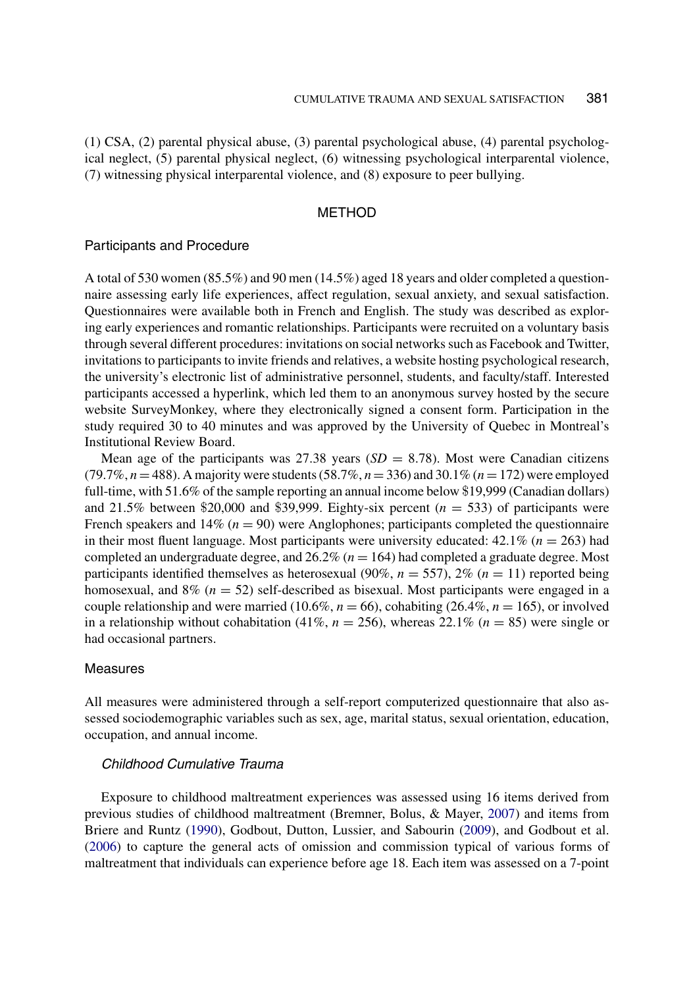(1) CSA, (2) parental physical abuse, (3) parental psychological abuse, (4) parental psychological neglect, (5) parental physical neglect, (6) witnessing psychological interparental violence, (7) witnessing physical interparental violence, and (8) exposure to peer bullying.

# METHOD

#### Participants and Procedure

A total of 530 women (85.5%) and 90 men (14.5%) aged 18 years and older completed a questionnaire assessing early life experiences, affect regulation, sexual anxiety, and sexual satisfaction. Questionnaires were available both in French and English. The study was described as exploring early experiences and romantic relationships. Participants were recruited on a voluntary basis through several different procedures: invitations on social networks such as Facebook and Twitter, invitations to participants to invite friends and relatives, a website hosting psychological research, the university's electronic list of administrative personnel, students, and faculty/staff. Interested participants accessed a hyperlink, which led them to an anonymous survey hosted by the secure website SurveyMonkey, where they electronically signed a consent form. Participation in the study required 30 to 40 minutes and was approved by the University of Quebec in Montreal's Institutional Review Board.

Mean age of the participants was 27.38 years  $(SD = 8.78)$ . Most were Canadian citizens (79.7%, *n* = 488). A majority were students (58.7%, *n* = 336) and 30.1% (*n* = 172) were employed full-time, with 51.6% of the sample reporting an annual income below \$19,999 (Canadian dollars) and  $21.5\%$  between \$20,000 and \$39,999. Eighty-six percent ( $n = 533$ ) of participants were French speakers and  $14\%$  ( $n = 90$ ) were Anglophones; participants completed the questionnaire in their most fluent language. Most participants were university educated: 42.1% (*n* = 263) had completed an undergraduate degree, and  $26.2\%$  ( $n = 164$ ) had completed a graduate degree. Most participants identified themselves as heterosexual (90%,  $n = 557$ ),  $2\%$  ( $n = 11$ ) reported being homosexual, and 8% (*n* = 52) self-described as bisexual. Most participants were engaged in a couple relationship and were married (10.6%,  $n = 66$ ), cohabiting (26.4%,  $n = 165$ ), or involved in a relationship without cohabitation  $(41\%, n = 256)$ , whereas 22.1%  $(n = 85)$  were single or had occasional partners.

# Measures

All measures were administered through a self-report computerized questionnaire that also assessed sociodemographic variables such as sex, age, marital status, sexual orientation, education, occupation, and annual income.

# *Childhood Cumulative Trauma*

Exposure to childhood maltreatment experiences was assessed using 16 items derived from previous studies of childhood maltreatment (Bremner, Bolus, & Mayer, [2007\)](#page-17-17) and items from Briere and Runtz [\(1990\)](#page-17-14), Godbout, Dutton, Lussier, and Sabourin [\(2009\)](#page-18-15), and Godbout et al. [\(2006\)](#page-18-2) to capture the general acts of omission and commission typical of various forms of maltreatment that individuals can experience before age 18. Each item was assessed on a 7-point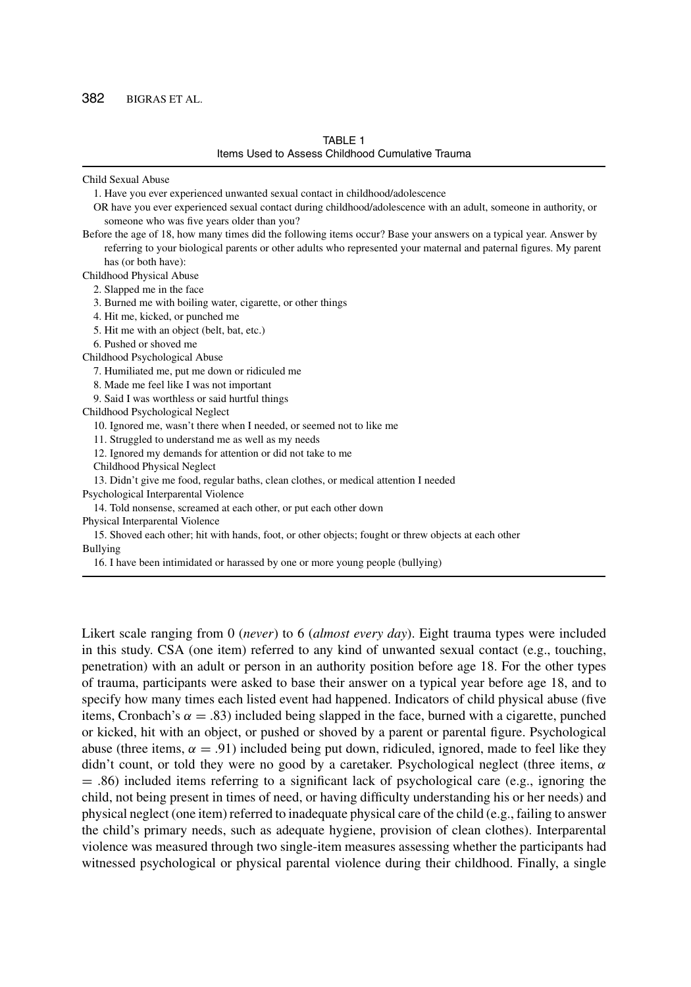#### $TARI \nF 1$

#### Items Used to Assess Childhood Cumulative Trauma

<span id="page-6-0"></span>Child Sexual Abuse

1. Have you ever experienced unwanted sexual contact in childhood/adolescence

OR have you ever experienced sexual contact during childhood/adolescence with an adult, someone in authority, or someone who was five years older than you?

Before the age of 18, how many times did the following items occur? Base your answers on a typical year. Answer by referring to your biological parents or other adults who represented your maternal and paternal figures. My parent has (or both have):

Childhood Physical Abuse

2. Slapped me in the face

3. Burned me with boiling water, cigarette, or other things

4. Hit me, kicked, or punched me

5. Hit me with an object (belt, bat, etc.)

6. Pushed or shoved me

Childhood Psychological Abuse

7. Humiliated me, put me down or ridiculed me

8. Made me feel like I was not important

9. Said I was worthless or said hurtful things

Childhood Psychological Neglect

10. Ignored me, wasn't there when I needed, or seemed not to like me

11. Struggled to understand me as well as my needs

12. Ignored my demands for attention or did not take to me

Childhood Physical Neglect

13. Didn't give me food, regular baths, clean clothes, or medical attention I needed

Psychological Interparental Violence

14. Told nonsense, screamed at each other, or put each other down

Physical Interparental Violence

15. Shoved each other; hit with hands, foot, or other objects; fought or threw objects at each other Bullying

16. I have been intimidated or harassed by one or more young people (bullying)

Likert scale ranging from 0 (*never*) to 6 (*almost every day*). Eight trauma types were included in this study. CSA (one item) referred to any kind of unwanted sexual contact (e.g., touching, penetration) with an adult or person in an authority position before age 18. For the other types of trauma, participants were asked to base their answer on a typical year before age 18, and to specify how many times each listed event had happened. Indicators of child physical abuse (five items, Cronbach's  $\alpha = .83$ ) included being slapped in the face, burned with a cigarette, punched or kicked, hit with an object, or pushed or shoved by a parent or parental figure. Psychological abuse (three items,  $\alpha = .91$ ) included being put down, ridiculed, ignored, made to feel like they didn't count, or told they were no good by a caretaker. Psychological neglect (three items,  $\alpha$  $=$  .86) included items referring to a significant lack of psychological care (e.g., ignoring the child, not being present in times of need, or having difficulty understanding his or her needs) and physical neglect (one item) referred to inadequate physical care of the child (e.g., failing to answer the child's primary needs, such as adequate hygiene, provision of clean clothes). Interparental violence was measured through two single-item measures assessing whether the participants had witnessed psychological or physical parental violence during their childhood. Finally, a single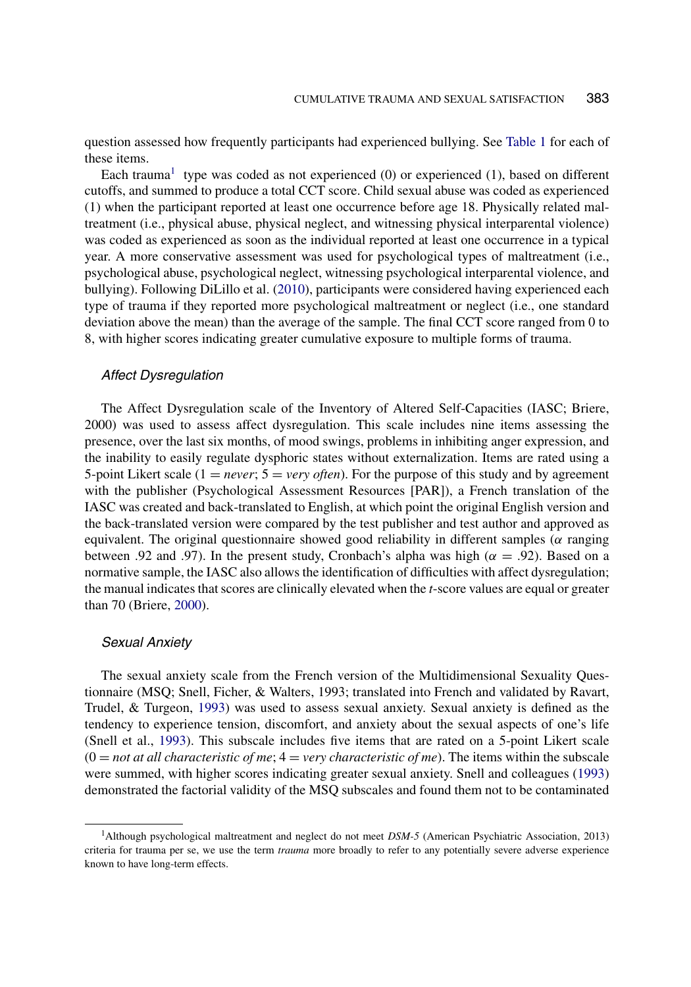question assessed how frequently participants had experienced bullying. See [Table 1](#page-6-0) for each of these items.

Each trauma<sup>1</sup> type was coded as not experienced  $(0)$  or experienced  $(1)$ , based on different cutoffs, and summed to produce a total CCT score. Child sexual abuse was coded as experienced (1) when the participant reported at least one occurrence before age 18. Physically related maltreatment (i.e., physical abuse, physical neglect, and witnessing physical interparental violence) was coded as experienced as soon as the individual reported at least one occurrence in a typical year. A more conservative assessment was used for psychological types of maltreatment (i.e., psychological abuse, psychological neglect, witnessing psychological interparental violence, and bullying). Following DiLillo et al. [\(2010\)](#page-18-14), participants were considered having experienced each type of trauma if they reported more psychological maltreatment or neglect (i.e., one standard deviation above the mean) than the average of the sample. The final CCT score ranged from 0 to 8, with higher scores indicating greater cumulative exposure to multiple forms of trauma.

# *Affect Dysregulation*

The Affect Dysregulation scale of the Inventory of Altered Self-Capacities (IASC; Briere, 2000) was used to assess affect dysregulation. This scale includes nine items assessing the presence, over the last six months, of mood swings, problems in inhibiting anger expression, and the inability to easily regulate dysphoric states without externalization. Items are rated using a 5-point Likert scale  $(1 = never; 5 = very often)$ . For the purpose of this study and by agreement with the publisher (Psychological Assessment Resources [PAR]), a French translation of the IASC was created and back-translated to English, at which point the original English version and the back-translated version were compared by the test publisher and test author and approved as equivalent. The original questionnaire showed good reliability in different samples ( $\alpha$  ranging between .92 and .97). In the present study, Cronbach's alpha was high ( $\alpha = .92$ ). Based on a normative sample, the IASC also allows the identification of difficulties with affect dysregulation; the manual indicates that scores are clinically elevated when the *t*-score values are equal or greater than 70 (Briere, [2000\)](#page-17-18).

#### *Sexual Anxiety*

The sexual anxiety scale from the French version of the Multidimensional Sexuality Questionnaire (MSQ; Snell, Ficher, & Walters, 1993; translated into French and validated by Ravart, Trudel, & Turgeon, [1993\)](#page-19-12) was used to assess sexual anxiety. Sexual anxiety is defined as the tendency to experience tension, discomfort, and anxiety about the sexual aspects of one's life (Snell et al., [1993\)](#page-20-14). This subscale includes five items that are rated on a 5-point Likert scale  $(0 = not at all characteristic of me; 4 = very characteristic of me)$ . The items within the subscale were summed, with higher scores indicating greater sexual anxiety. Snell and colleagues [\(1993\)](#page-20-14) demonstrated the factorial validity of the MSQ subscales and found them not to be contaminated

<span id="page-7-0"></span><sup>1</sup>Although psychological maltreatment and neglect do not meet *DSM-5* (American Psychiatric Association, 2013) criteria for trauma per se, we use the term *trauma* more broadly to refer to any potentially severe adverse experience known to have long-term effects.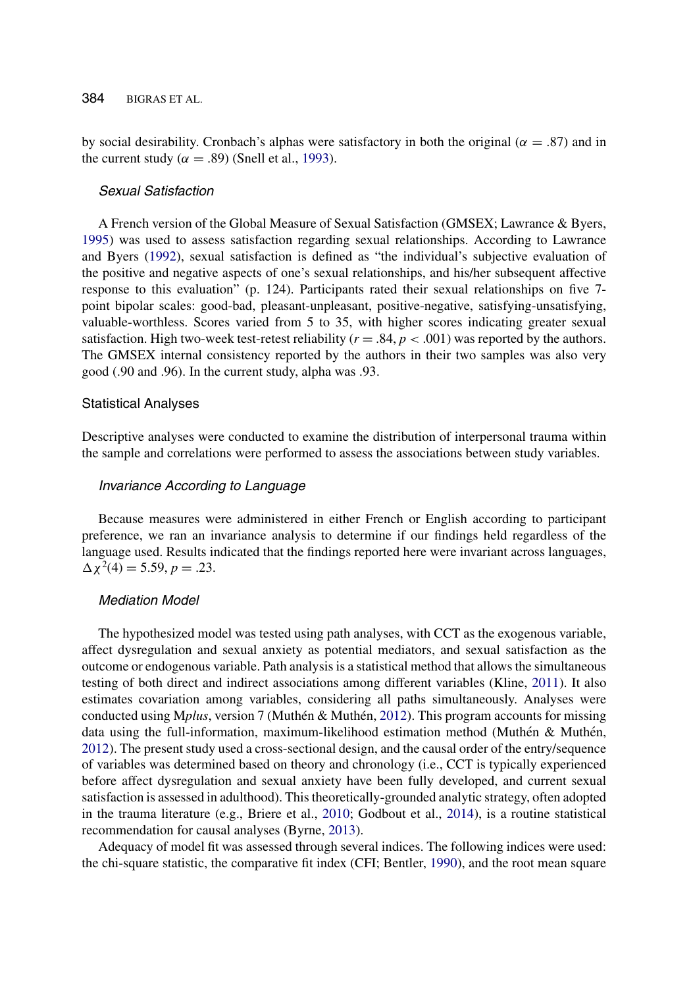by social desirability. Cronbach's alphas were satisfactory in both the original ( $\alpha = .87$ ) and in the current study ( $\alpha = .89$ ) (Snell et al., [1993\)](#page-20-14).

#### *Sexual Satisfaction*

A French version of the Global Measure of Sexual Satisfaction (GMSEX; Lawrance & Byers, [1995\)](#page-19-13) was used to assess satisfaction regarding sexual relationships. According to Lawrance and Byers [\(1992\)](#page-19-14), sexual satisfaction is defined as "the individual's subjective evaluation of the positive and negative aspects of one's sexual relationships, and his/her subsequent affective response to this evaluation" (p. 124). Participants rated their sexual relationships on five 7 point bipolar scales: good-bad, pleasant-unpleasant, positive-negative, satisfying-unsatisfying, valuable-worthless. Scores varied from 5 to 35, with higher scores indicating greater sexual satisfaction. High two-week test-retest reliability ( $r = .84$ ,  $p < .001$ ) was reported by the authors. The GMSEX internal consistency reported by the authors in their two samples was also very good (.90 and .96). In the current study, alpha was .93.

#### Statistical Analyses

Descriptive analyses were conducted to examine the distribution of interpersonal trauma within the sample and correlations were performed to assess the associations between study variables.

# *Invariance According to Language*

Because measures were administered in either French or English according to participant preference, we ran an invariance analysis to determine if our findings held regardless of the language used. Results indicated that the findings reported here were invariant across languages,  $\Delta \chi^2(4) = 5.59, p = .23.$ 

## *Mediation Model*

The hypothesized model was tested using path analyses, with CCT as the exogenous variable, affect dysregulation and sexual anxiety as potential mediators, and sexual satisfaction as the outcome or endogenous variable. Path analysis is a statistical method that allows the simultaneous testing of both direct and indirect associations among different variables (Kline, [2011\)](#page-19-15). It also estimates covariation among variables, considering all paths simultaneously. Analyses were conducted using Mplus, version 7 (Muthén & Muthén, [2012\)](#page-19-16). This program accounts for missing data using the full-information, maximum-likelihood estimation method (Muthén & Muthén, [2012\)](#page-19-16). The present study used a cross-sectional design, and the causal order of the entry/sequence of variables was determined based on theory and chronology (i.e., CCT is typically experienced before affect dysregulation and sexual anxiety have been fully developed, and current sexual satisfaction is assessed in adulthood). This theoretically-grounded analytic strategy, often adopted in the trauma literature (e.g., Briere et al., [2010;](#page-17-5) Godbout et al., [2014\)](#page-18-9), is a routine statistical recommendation for causal analyses (Byrne, [2013\)](#page-17-19).

Adequacy of model fit was assessed through several indices. The following indices were used: the chi-square statistic, the comparative fit index (CFI; Bentler, [1990\)](#page-17-20), and the root mean square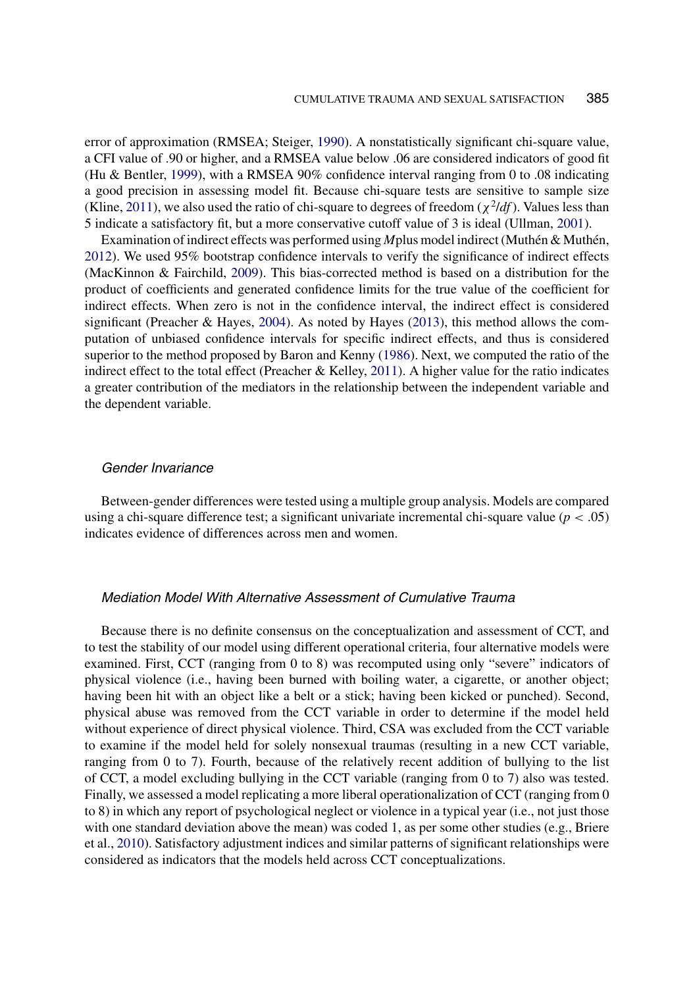error of approximation (RMSEA; Steiger, [1990\)](#page-20-15). A nonstatistically significant chi-square value, a CFI value of .90 or higher, and a RMSEA value below .06 are considered indicators of good fit (Hu & Bentler, [1999\)](#page-19-17), with a RMSEA 90% confidence interval ranging from 0 to .08 indicating a good precision in assessing model fit. Because chi-square tests are sensitive to sample size (Kline, [2011\)](#page-19-15), we also used the ratio of chi-square to degrees of freedom ( $\chi^2/df$ ). Values less than 5 indicate a satisfactory fit, but a more conservative cutoff value of 3 is ideal (Ullman, [2001\)](#page-20-16).

Examination of indirect effects was performed using *M*plus model indirect (Muthén & Muthén, [2012\)](#page-19-16). We used 95% bootstrap confidence intervals to verify the significance of indirect effects (MacKinnon & Fairchild, [2009\)](#page-19-18). This bias-corrected method is based on a distribution for the product of coefficients and generated confidence limits for the true value of the coefficient for indirect effects. When zero is not in the confidence interval, the indirect effect is considered significant (Preacher & Hayes, [2004\)](#page-19-19). As noted by Hayes [\(2013\)](#page-18-16), this method allows the computation of unbiased confidence intervals for specific indirect effects, and thus is considered superior to the method proposed by Baron and Kenny [\(1986\)](#page-17-21). Next, we computed the ratio of the indirect effect to the total effect (Preacher & Kelley, [2011\)](#page-19-20). A higher value for the ratio indicates a greater contribution of the mediators in the relationship between the independent variable and the dependent variable.

# *Gender Invariance*

Between-gender differences were tested using a multiple group analysis. Models are compared using a chi-square difference test; a significant univariate incremental chi-square value ( $p < .05$ ) indicates evidence of differences across men and women.

# *Mediation Model With Alternative Assessment of Cumulative Trauma*

Because there is no definite consensus on the conceptualization and assessment of CCT, and to test the stability of our model using different operational criteria, four alternative models were examined. First, CCT (ranging from 0 to 8) was recomputed using only "severe" indicators of physical violence (i.e., having been burned with boiling water, a cigarette, or another object; having been hit with an object like a belt or a stick; having been kicked or punched). Second, physical abuse was removed from the CCT variable in order to determine if the model held without experience of direct physical violence. Third, CSA was excluded from the CCT variable to examine if the model held for solely nonsexual traumas (resulting in a new CCT variable, ranging from 0 to 7). Fourth, because of the relatively recent addition of bullying to the list of CCT, a model excluding bullying in the CCT variable (ranging from 0 to 7) also was tested. Finally, we assessed a model replicating a more liberal operationalization of CCT (ranging from 0 to 8) in which any report of psychological neglect or violence in a typical year (i.e., not just those with one standard deviation above the mean) was coded 1, as per some other studies (e.g., Briere et al., [2010\)](#page-17-5). Satisfactory adjustment indices and similar patterns of significant relationships were considered as indicators that the models held across CCT conceptualizations.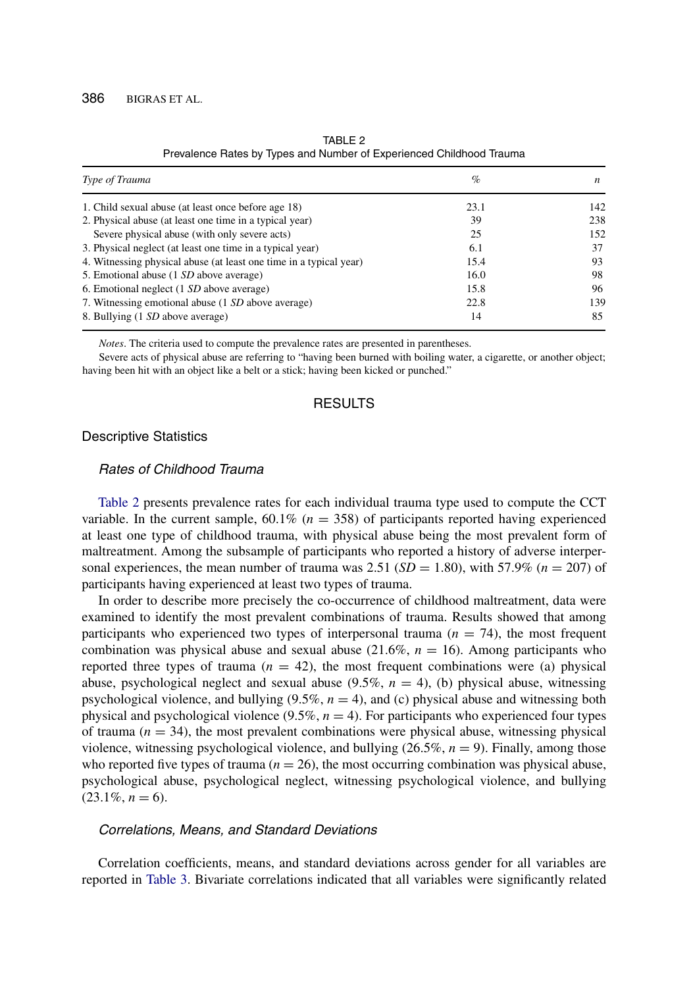#### 386 BIGRAS ET AL.

<span id="page-10-0"></span>

| Type of Trauma                                                     | $\%$ | n   |  |
|--------------------------------------------------------------------|------|-----|--|
| 1. Child sexual abuse (at least once before age 18)                | 23.1 | 142 |  |
| 2. Physical abuse (at least one time in a typical year)            | 39   | 238 |  |
| Severe physical abuse (with only severe acts)                      | 25   | 152 |  |
| 3. Physical neglect (at least one time in a typical year)          | 6.1  | 37  |  |
| 4. Witnessing physical abuse (at least one time in a typical year) | 15.4 | 93  |  |
| 5. Emotional abuse (1 SD above average)                            | 16.0 | 98  |  |
| 6. Emotional neglect (1 SD above average)                          | 15.8 | 96  |  |
| 7. Witnessing emotional abuse (1 SD above average)                 | 22.8 | 139 |  |
| 8. Bullying (1 SD above average)                                   | 14   | 85  |  |

TARI F 2 Prevalence Rates by Types and Number of Experienced Childhood Trauma

*Notes*. The criteria used to compute the prevalence rates are presented in parentheses.

Severe acts of physical abuse are referring to "having been burned with boiling water, a cigarette, or another object; having been hit with an object like a belt or a stick; having been kicked or punched."

# **RESULTS**

# Descriptive Statistics

# *Rates of Childhood Trauma*

[Table 2](#page-10-0) presents prevalence rates for each individual trauma type used to compute the CCT variable. In the current sample,  $60.1\%$  ( $n = 358$ ) of participants reported having experienced at least one type of childhood trauma, with physical abuse being the most prevalent form of maltreatment. Among the subsample of participants who reported a history of adverse interpersonal experiences, the mean number of trauma was  $2.51$  (*SD* = 1.80), with 57.9% ( $n = 207$ ) of participants having experienced at least two types of trauma.

In order to describe more precisely the co-occurrence of childhood maltreatment, data were examined to identify the most prevalent combinations of trauma. Results showed that among participants who experienced two types of interpersonal trauma  $(n = 74)$ , the most frequent combination was physical abuse and sexual abuse  $(21.6\%, n = 16)$ . Among participants who reported three types of trauma  $(n = 42)$ , the most frequent combinations were (a) physical abuse, psychological neglect and sexual abuse  $(9.5\%, n = 4)$ , (b) physical abuse, witnessing psychological violence, and bullying  $(9.5\%, n = 4)$ , and (c) physical abuse and witnessing both physical and psychological violence (9.5%, *n* = 4). For participants who experienced four types of trauma ( $n = 34$ ), the most prevalent combinations were physical abuse, witnessing physical violence, witnessing psychological violence, and bullying  $(26.5\%, n = 9)$ . Finally, among those who reported five types of trauma  $(n = 26)$ , the most occurring combination was physical abuse, psychological abuse, psychological neglect, witnessing psychological violence, and bullying  $(23.1\%, n=6)$ .

# *Correlations, Means, and Standard Deviations*

Correlation coefficients, means, and standard deviations across gender for all variables are reported in [Table 3.](#page-11-0) Bivariate correlations indicated that all variables were significantly related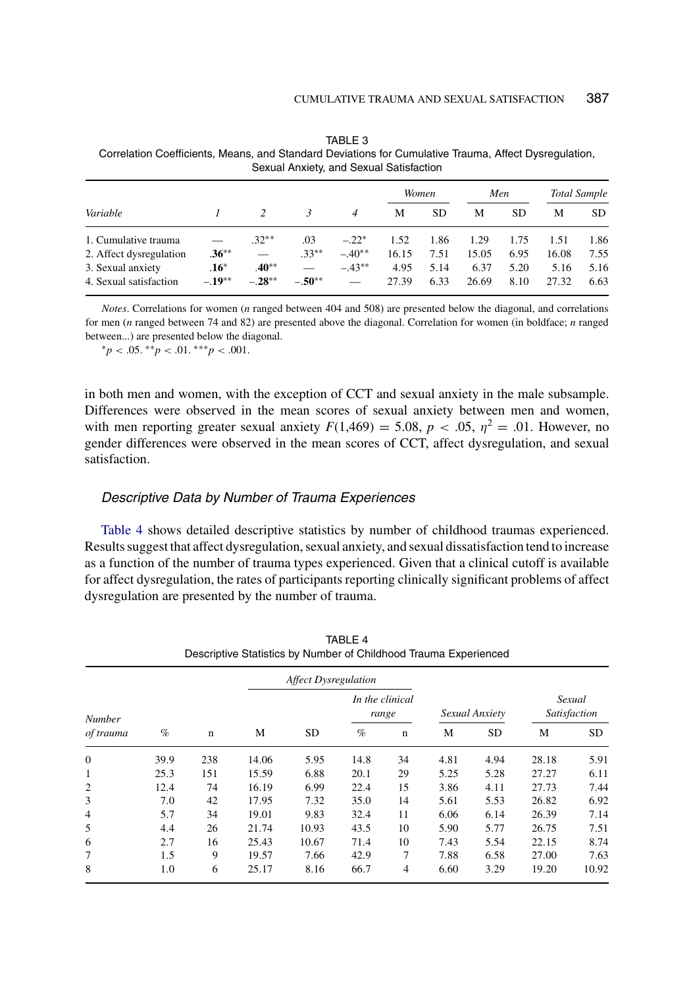| Variable                                    |                    |                          |          | 4        | Women         |              | Men           |              | Total Sample  |              |
|---------------------------------------------|--------------------|--------------------------|----------|----------|---------------|--------------|---------------|--------------|---------------|--------------|
|                                             |                    |                          |          |          | M             | SD           | М             | <b>SD</b>    | М             | SD           |
| 1. Cumulative trauma                        |                    | $.32**$                  | .03      | $-.22*$  | 1.52          | 1.86         | 1.29          | 1.75         | 1.51          | 1.86         |
| 2. Affect dysregulation                     | $.36***$           | $\overline{\phantom{0}}$ | $.33**$  | $-.40**$ | 16.15         | 7.51         | 15.05         | 6.95         | 16.08         | 7.55         |
| 3. Sexual anxiety<br>4. Sexual satisfaction | $.16*$<br>$-.19**$ | $.40**$<br>$-.28**$      | $-.50**$ | $-.43**$ | 4.95<br>27.39 | 5.14<br>6.33 | 6.37<br>26.69 | 5.20<br>8.10 | 5.16<br>27.32 | 5.16<br>6.63 |

<span id="page-11-0"></span>TABLE 3 Correlation Coefficients, Means, and Standard Deviations for Cumulative Trauma, Affect Dysregulation, Sexual Anxiety, and Sexual Satisfaction

*Notes*. Correlations for women (*n* ranged between 404 and 508) are presented below the diagonal, and correlations for men (*n* ranged between 74 and 82) are presented above the diagonal. Correlation for women (in boldface; *n* ranged between...) are presented below the diagonal.

∗*p* < .05. ∗∗*p* < .01. ∗∗∗*p* < .001.

in both men and women, with the exception of CCT and sexual anxiety in the male subsample. Differences were observed in the mean scores of sexual anxiety between men and women, with men reporting greater sexual anxiety  $F(1,469) = 5.08$ ,  $p < .05$ ,  $n^2 = .01$ . However, no gender differences were observed in the mean scores of CCT, affect dysregulation, and sexual satisfaction.

# *Descriptive Data by Number of Trauma Experiences*

[Table 4](#page-11-1) shows detailed descriptive statistics by number of childhood traumas experienced. Results suggest that affect dysregulation, sexual anxiety, and sexual dissatisfaction tend to increase as a function of the number of trauma types experienced. Given that a clinical cutoff is available for affect dysregulation, the rates of participants reporting clinically significant problems of affect dysregulation are presented by the number of trauma.

<span id="page-11-1"></span>

| <b>Number</b><br>of trauma |      |             | <b>Affect Dysregulation</b> |           |                          |             |                |           |                        |           |
|----------------------------|------|-------------|-----------------------------|-----------|--------------------------|-------------|----------------|-----------|------------------------|-----------|
|                            |      | $\mathbf n$ | M                           | <b>SD</b> | In the clinical<br>range |             | Sexual Anxiety |           | Sexual<br>Satisfaction |           |
|                            | $\%$ |             |                             |           | $\%$                     | $\mathbf n$ | M              | <b>SD</b> | M                      | <b>SD</b> |
| $\overline{0}$             | 39.9 | 238         | 14.06                       | 5.95      | 14.8                     | 34          | 4.81           | 4.94      | 28.18                  | 5.91      |
| 1                          | 25.3 | 151         | 15.59                       | 6.88      | 20.1                     | 29          | 5.25           | 5.28      | 27.27                  | 6.11      |
| $\overline{2}$             | 12.4 | 74          | 16.19                       | 6.99      | 22.4                     | 15          | 3.86           | 4.11      | 27.73                  | 7.44      |
| 3                          | 7.0  | 42          | 17.95                       | 7.32      | 35.0                     | 14          | 5.61           | 5.53      | 26.82                  | 6.92      |
| $\overline{4}$             | 5.7  | 34          | 19.01                       | 9.83      | 32.4                     | 11          | 6.06           | 6.14      | 26.39                  | 7.14      |
| 5                          | 4.4  | 26          | 21.74                       | 10.93     | 43.5                     | 10          | 5.90           | 5.77      | 26.75                  | 7.51      |
| 6                          | 2.7  | 16          | 25.43                       | 10.67     | 71.4                     | 10          | 7.43           | 5.54      | 22.15                  | 8.74      |
| 7                          | 1.5  | 9           | 19.57                       | 7.66      | 42.9                     | 7           | 7.88           | 6.58      | 27.00                  | 7.63      |
| 8                          | 1.0  | 6           | 25.17                       | 8.16      | 66.7                     | 4           | 6.60           | 3.29      | 19.20                  | 10.92     |

 $TADI = 4$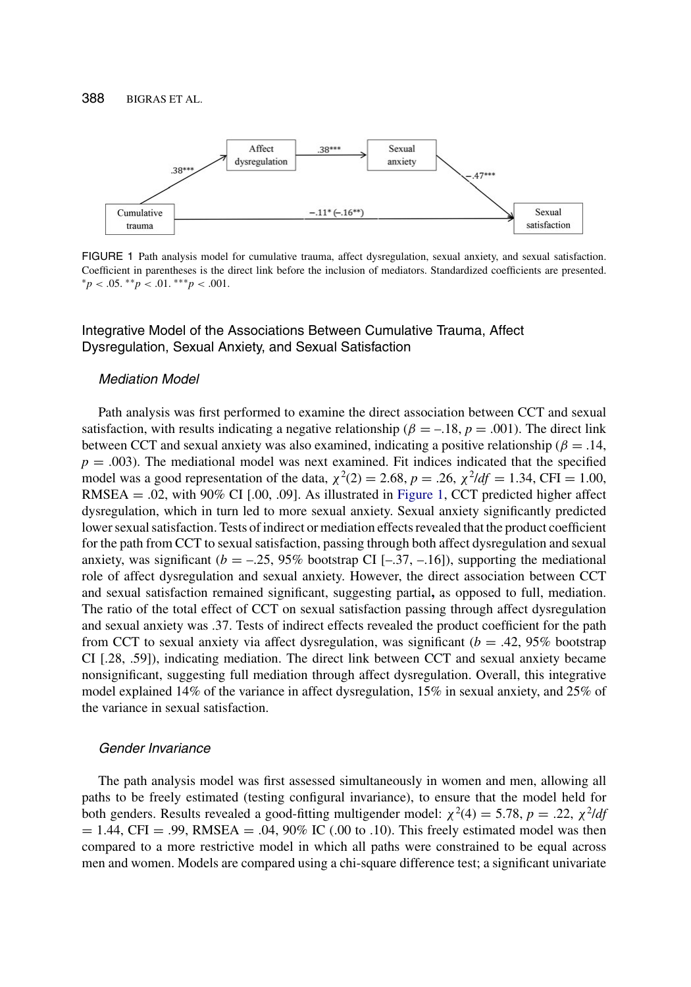<span id="page-12-0"></span>

FIGURE 1 Path analysis model for cumulative trauma, affect dysregulation, sexual anxiety, and sexual satisfaction. Coefficient in parentheses is the direct link before the inclusion of mediators. Standardized coefficients are presented. ∗*p* < .05. ∗∗*p* < .01. ∗∗∗*p* < .001.

Integrative Model of the Associations Between Cumulative Trauma, Affect Dysregulation, Sexual Anxiety, and Sexual Satisfaction

#### *Mediation Model*

Path analysis was first performed to examine the direct association between CCT and sexual satisfaction, with results indicating a negative relationship ( $\beta = -.18$ ,  $p = .001$ ). The direct link between CCT and sexual anxiety was also examined, indicating a positive relationship ( $\beta = .14$ ,  $p = .003$ ). The mediational model was next examined. Fit indices indicated that the specified model was a good representation of the data,  $\chi^2(2) = 2.68$ ,  $p = .26$ ,  $\chi^2/df = 1.34$ , CFI = 1.00, RMSEA = .02, with 90% CI  $[.00, .09]$ . As illustrated in [Figure 1,](#page-12-0) CCT predicted higher affect dysregulation, which in turn led to more sexual anxiety. Sexual anxiety significantly predicted lower sexual satisfaction. Tests of indirect or mediation effects revealed that the product coefficient for the path from CCT to sexual satisfaction, passing through both affect dysregulation and sexual anxiety, was significant  $(b = -.25, 95\%$  bootstrap CI  $[-.37, -.16]$ ), supporting the mediational role of affect dysregulation and sexual anxiety. However, the direct association between CCT and sexual satisfaction remained significant, suggesting partial**,** as opposed to full, mediation. The ratio of the total effect of CCT on sexual satisfaction passing through affect dysregulation and sexual anxiety was .37. Tests of indirect effects revealed the product coefficient for the path from CCT to sexual anxiety via affect dysregulation, was significant ( $b = .42, 95\%$  bootstrap CI [.28, .59]), indicating mediation. The direct link between CCT and sexual anxiety became nonsignificant, suggesting full mediation through affect dysregulation. Overall, this integrative model explained 14% of the variance in affect dysregulation, 15% in sexual anxiety, and 25% of the variance in sexual satisfaction.

# *Gender Invariance*

The path analysis model was first assessed simultaneously in women and men, allowing all paths to be freely estimated (testing configural invariance), to ensure that the model held for both genders. Results revealed a good-fitting multigender model:  $\chi^2(4) = 5.78$ ,  $p = .22$ ,  $\chi^2$ *ldf*  $= 1.44$ , CFI = .99, RMSEA = .04, 90% IC (.00 to .10). This freely estimated model was then compared to a more restrictive model in which all paths were constrained to be equal across men and women. Models are compared using a chi-square difference test; a significant univariate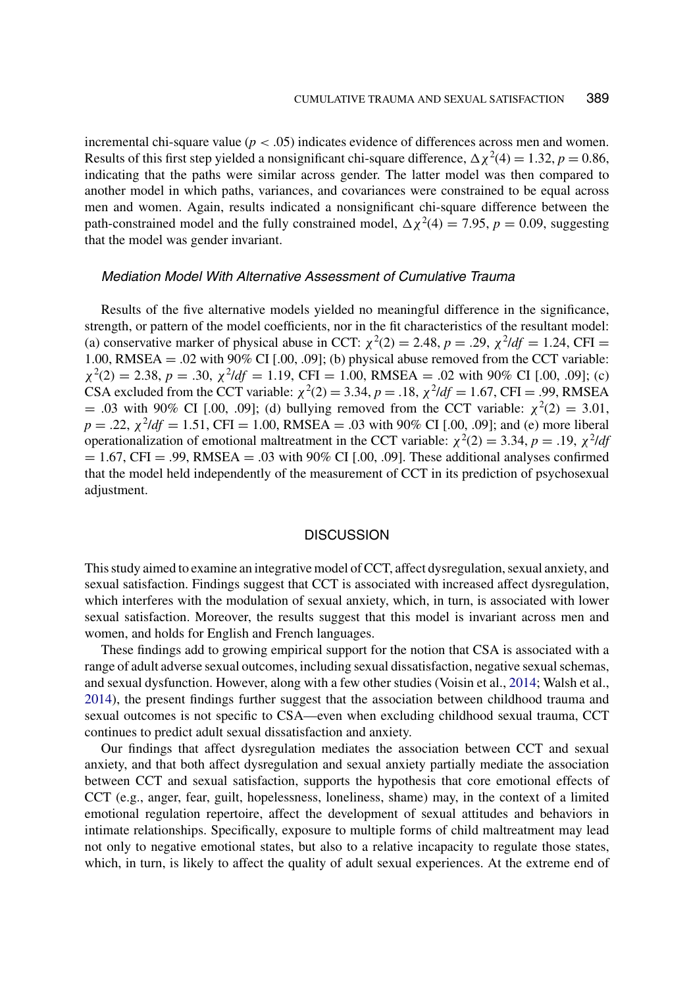incremental chi-square value ( $p < .05$ ) indicates evidence of differences across men and women. Results of this first step yielded a nonsignificant chi-square difference,  $\Delta \chi^2(4) = 1.32$ ,  $p = 0.86$ , indicating that the paths were similar across gender. The latter model was then compared to another model in which paths, variances, and covariances were constrained to be equal across men and women. Again, results indicated a nonsignificant chi-square difference between the path-constrained model and the fully constrained model,  $\Delta \chi^2(4) = 7.95$ ,  $p = 0.09$ , suggesting that the model was gender invariant.

# *Mediation Model With Alternative Assessment of Cumulative Trauma*

Results of the five alternative models yielded no meaningful difference in the significance, strength, or pattern of the model coefficients, nor in the fit characteristics of the resultant model: (a) conservative marker of physical abuse in CCT:  $\chi^2(2) = 2.48$ ,  $p = .29$ ,  $\chi^2/df = 1.24$ , CFI = 1.00, RMSEA = .02 with 90% CI [.00, .09]; (b) physical abuse removed from the CCT variable:  $\chi^2(2) = 2.38$ ,  $p = .30$ ,  $\chi^2/df = 1.19$ , CFI = 1.00, RMSEA = .02 with 90% CI [.00, .09]; (c) CSA excluded from the CCT variable:  $\chi^2(2) = 3.34$ ,  $p = .18$ ,  $\chi^2/df = 1.67$ , CFI = .99, RMSEA = .03 with 90% CI [.00, .09]; (d) bullying removed from the CCT variable:  $\chi^2(2) = 3.01$ ,  $p = .22$ ,  $\chi^2/df = 1.51$ , CFI = 1.00, RMSEA = .03 with 90% CI [.00, .09]; and (e) more liberal operationalization of emotional maltreatment in the CCT variable:  $\chi^2(2) = 3.34$ ,  $p = .19$ ,  $\chi^2$ *ldf*  $= 1.67$ , CFI = .99, RMSEA = .03 with 90% CI [.00, .09]. These additional analyses confirmed that the model held independently of the measurement of CCT in its prediction of psychosexual adjustment.

# **DISCUSSION**

This study aimed to examine an integrative model of CCT, affect dysregulation, sexual anxiety, and sexual satisfaction. Findings suggest that CCT is associated with increased affect dysregulation, which interferes with the modulation of sexual anxiety, which, in turn, is associated with lower sexual satisfaction. Moreover, the results suggest that this model is invariant across men and women, and holds for English and French languages.

These findings add to growing empirical support for the notion that CSA is associated with a range of adult adverse sexual outcomes, including sexual dissatisfaction, negative sexual schemas, and sexual dysfunction. However, along with a few other studies (Voisin et al., [2014;](#page-20-6) Walsh et al., [2014\)](#page-20-5), the present findings further suggest that the association between childhood trauma and sexual outcomes is not specific to CSA—even when excluding childhood sexual trauma, CCT continues to predict adult sexual dissatisfaction and anxiety.

Our findings that affect dysregulation mediates the association between CCT and sexual anxiety, and that both affect dysregulation and sexual anxiety partially mediate the association between CCT and sexual satisfaction, supports the hypothesis that core emotional effects of CCT (e.g., anger, fear, guilt, hopelessness, loneliness, shame) may, in the context of a limited emotional regulation repertoire, affect the development of sexual attitudes and behaviors in intimate relationships. Specifically, exposure to multiple forms of child maltreatment may lead not only to negative emotional states, but also to a relative incapacity to regulate those states, which, in turn, is likely to affect the quality of adult sexual experiences. At the extreme end of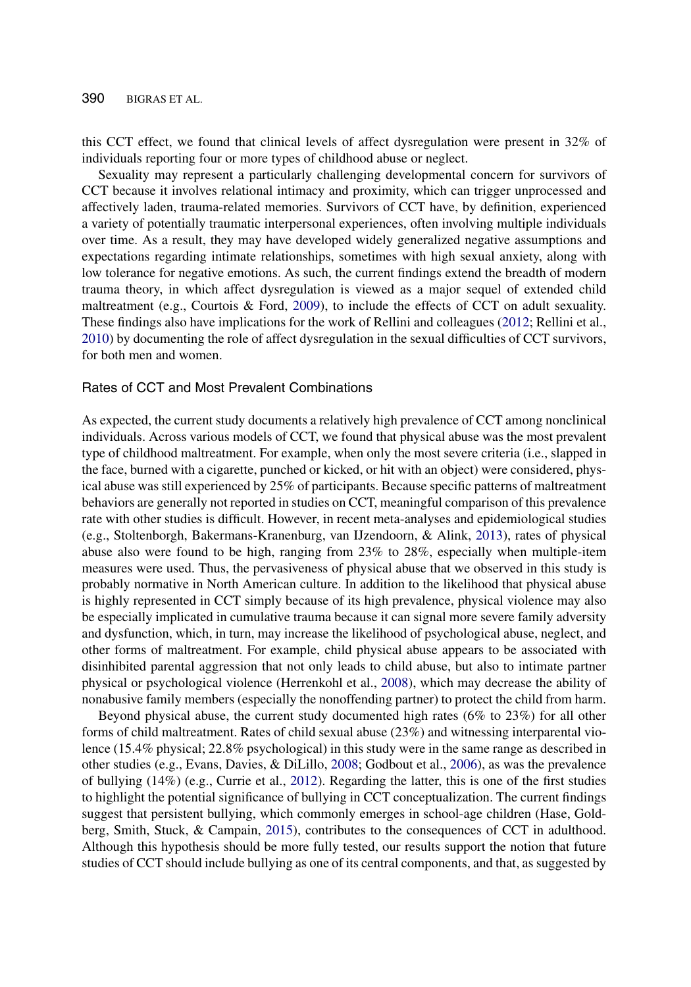this CCT effect, we found that clinical levels of affect dysregulation were present in 32% of individuals reporting four or more types of childhood abuse or neglect.

Sexuality may represent a particularly challenging developmental concern for survivors of CCT because it involves relational intimacy and proximity, which can trigger unprocessed and affectively laden, trauma-related memories. Survivors of CCT have, by definition, experienced a variety of potentially traumatic interpersonal experiences, often involving multiple individuals over time. As a result, they may have developed widely generalized negative assumptions and expectations regarding intimate relationships, sometimes with high sexual anxiety, along with low tolerance for negative emotions. As such, the current findings extend the breadth of modern trauma theory, in which affect dysregulation is viewed as a major sequel of extended child maltreatment (e.g., Courtois  $&$  Ford, [2009\)](#page-17-13), to include the effects of CCT on adult sexuality. These findings also have implications for the work of Rellini and colleagues [\(2012;](#page-20-8) Rellini et al., [2010\)](#page-20-9) by documenting the role of affect dysregulation in the sexual difficulties of CCT survivors, for both men and women.

# Rates of CCT and Most Prevalent Combinations

As expected, the current study documents a relatively high prevalence of CCT among nonclinical individuals. Across various models of CCT, we found that physical abuse was the most prevalent type of childhood maltreatment. For example, when only the most severe criteria (i.e., slapped in the face, burned with a cigarette, punched or kicked, or hit with an object) were considered, physical abuse was still experienced by 25% of participants. Because specific patterns of maltreatment behaviors are generally not reported in studies on CCT, meaningful comparison of this prevalence rate with other studies is difficult. However, in recent meta-analyses and epidemiological studies (e.g., Stoltenborgh, Bakermans-Kranenburg, van IJzendoorn, & Alink, [2013\)](#page-20-17), rates of physical abuse also were found to be high, ranging from 23% to 28%, especially when multiple-item measures were used. Thus, the pervasiveness of physical abuse that we observed in this study is probably normative in North American culture. In addition to the likelihood that physical abuse is highly represented in CCT simply because of its high prevalence, physical violence may also be especially implicated in cumulative trauma because it can signal more severe family adversity and dysfunction, which, in turn, may increase the likelihood of psychological abuse, neglect, and other forms of maltreatment. For example, child physical abuse appears to be associated with disinhibited parental aggression that not only leads to child abuse, but also to intimate partner physical or psychological violence (Herrenkohl et al., [2008\)](#page-18-3), which may decrease the ability of nonabusive family members (especially the nonoffending partner) to protect the child from harm.

Beyond physical abuse, the current study documented high rates (6% to 23%) for all other forms of child maltreatment. Rates of child sexual abuse (23%) and witnessing interparental violence (15.4% physical; 22.8% psychological) in this study were in the same range as described in other studies (e.g., Evans, Davies, & DiLillo, [2008;](#page-18-17) Godbout et al., [2006\)](#page-18-2), as was the prevalence of bullying (14%) (e.g., Currie et al., [2012\)](#page-17-22). Regarding the latter, this is one of the first studies to highlight the potential significance of bullying in CCT conceptualization. The current findings suggest that persistent bullying, which commonly emerges in school-age children (Hase, Goldberg, Smith, Stuck, & Campain, [2015\)](#page-18-18), contributes to the consequences of CCT in adulthood. Although this hypothesis should be more fully tested, our results support the notion that future studies of CCT should include bullying as one of its central components, and that, as suggested by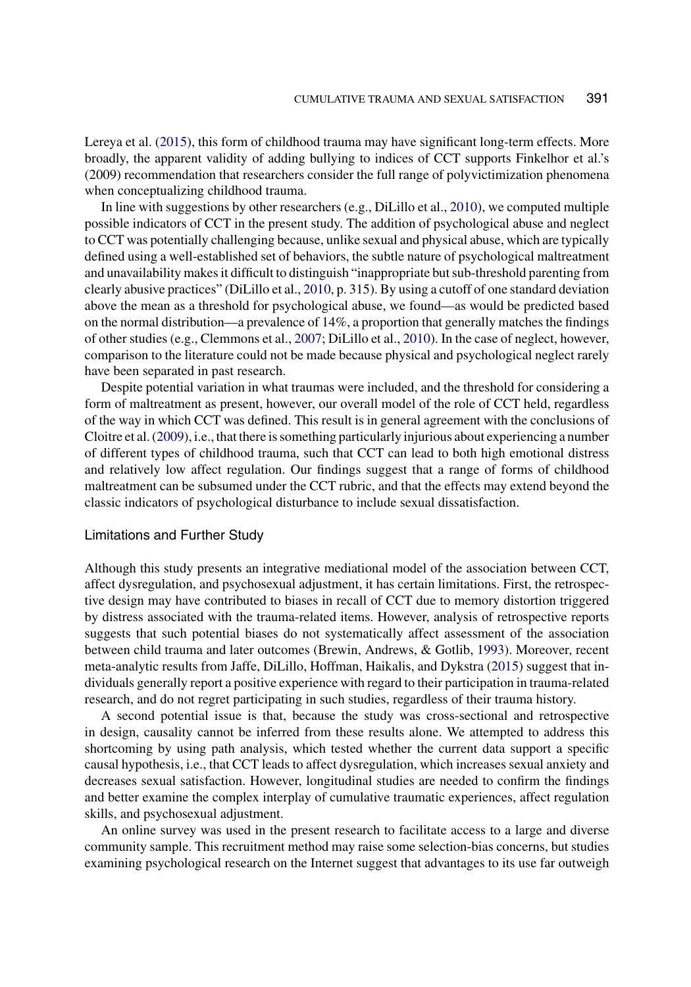Lereya et al. [\(2015\)](#page-19-11), this form of childhood trauma may have significant long-term effects. More broadly, the apparent validity of adding bullying to indices of CCT supports Finkelhor et al.'s (2009) recommendation that researchers consider the full range of polyvictimization phenomena when conceptualizing childhood trauma.

In line with suggestions by other researchers (e.g., DiLillo et al., [2010\)](#page-18-14), we computed multiple possible indicators of CCT in the present study. The addition of psychological abuse and neglect to CCT was potentially challenging because, unlike sexual and physical abuse, which are typically defined using a well-established set of behaviors, the subtle nature of psychological maltreatment and unavailability makes it difficult to distinguish "inappropriate but sub-threshold parenting from clearly abusive practices" (DiLillo et al., [2010,](#page-18-14) p. 315). By using a cutoff of one standard deviation above the mean as a threshold for psychological abuse, we found—as would be predicted based on the normal distribution—a prevalence of 14%, a proportion that generally matches the findings of other studies (e.g., Clemmons et al., [2007;](#page-17-15) DiLillo et al., [2010\)](#page-18-14). In the case of neglect, however, comparison to the literature could not be made because physical and psychological neglect rarely have been separated in past research.

Despite potential variation in what traumas were included, and the threshold for considering a form of maltreatment as present, however, our overall model of the role of CCT held, regardless of the way in which CCT was defined. This result is in general agreement with the conclusions of Cloitre et al. [\(2009\)](#page-17-2), i.e., that there is something particularly injurious about experiencing a number of different types of childhood trauma, such that CCT can lead to both high emotional distress and relatively low affect regulation. Our findings suggest that a range of forms of childhood maltreatment can be subsumed under the CCT rubric, and that the effects may extend beyond the classic indicators of psychological disturbance to include sexual dissatisfaction.

#### Limitations and Further Study

Although this study presents an integrative mediational model of the association between CCT, affect dysregulation, and psychosexual adjustment, it has certain limitations. First, the retrospective design may have contributed to biases in recall of CCT due to memory distortion triggered by distress associated with the trauma-related items. However, analysis of retrospective reports suggests that such potential biases do not systematically affect assessment of the association between child trauma and later outcomes (Brewin, Andrews, & Gotlib, [1993\)](#page-17-23). Moreover, recent meta-analytic results from Jaffe, DiLillo, Hoffman, Haikalis, and Dykstra [\(2015\)](#page-19-21) suggest that individuals generally report a positive experience with regard to their participation in trauma-related research, and do not regret participating in such studies, regardless of their trauma history.

A second potential issue is that, because the study was cross-sectional and retrospective in design, causality cannot be inferred from these results alone. We attempted to address this shortcoming by using path analysis, which tested whether the current data support a specific causal hypothesis, i.e., that CCT leads to affect dysregulation, which increases sexual anxiety and decreases sexual satisfaction. However, longitudinal studies are needed to confirm the findings and better examine the complex interplay of cumulative traumatic experiences, affect regulation skills, and psychosexual adjustment.

An online survey was used in the present research to facilitate access to a large and diverse community sample. This recruitment method may raise some selection-bias concerns, but studies examining psychological research on the Internet suggest that advantages to its use far outweigh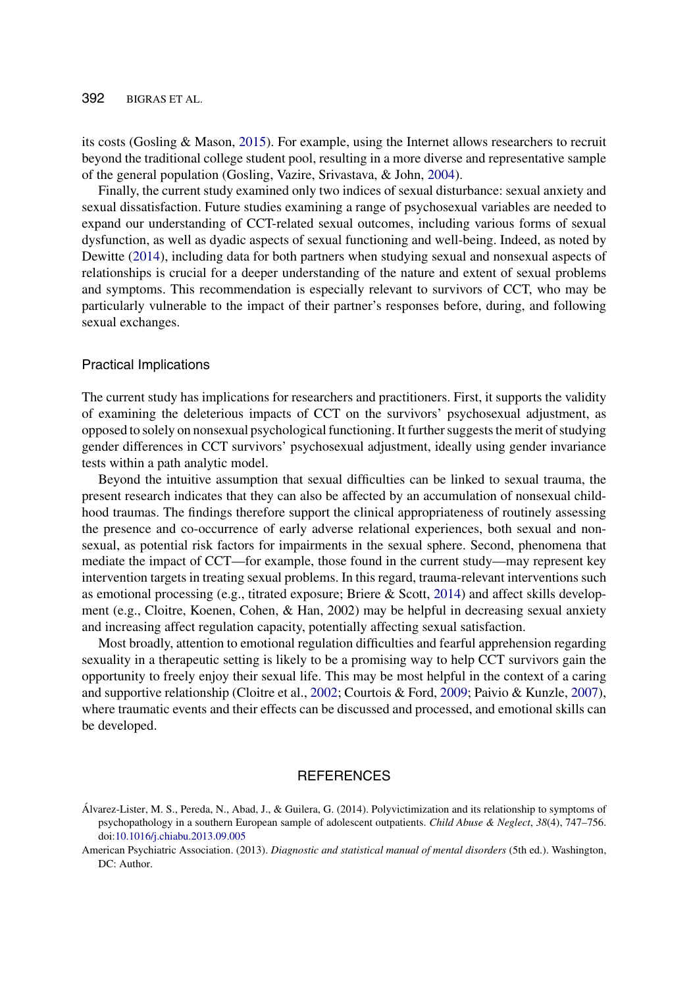its costs (Gosling & Mason, [2015\)](#page-18-19). For example, using the Internet allows researchers to recruit beyond the traditional college student pool, resulting in a more diverse and representative sample of the general population (Gosling, Vazire, Srivastava, & John, [2004\)](#page-18-20).

Finally, the current study examined only two indices of sexual disturbance: sexual anxiety and sexual dissatisfaction. Future studies examining a range of psychosexual variables are needed to expand our understanding of CCT-related sexual outcomes, including various forms of sexual dysfunction, as well as dyadic aspects of sexual functioning and well-being. Indeed, as noted by Dewitte [\(2014\)](#page-18-21), including data for both partners when studying sexual and nonsexual aspects of relationships is crucial for a deeper understanding of the nature and extent of sexual problems and symptoms. This recommendation is especially relevant to survivors of CCT, who may be particularly vulnerable to the impact of their partner's responses before, during, and following sexual exchanges.

#### Practical Implications

The current study has implications for researchers and practitioners. First, it supports the validity of examining the deleterious impacts of CCT on the survivors' psychosexual adjustment, as opposed to solely on nonsexual psychological functioning. It further suggests the merit of studying gender differences in CCT survivors' psychosexual adjustment, ideally using gender invariance tests within a path analytic model.

Beyond the intuitive assumption that sexual difficulties can be linked to sexual trauma, the present research indicates that they can also be affected by an accumulation of nonsexual childhood traumas. The findings therefore support the clinical appropriateness of routinely assessing the presence and co-occurrence of early adverse relational experiences, both sexual and nonsexual, as potential risk factors for impairments in the sexual sphere. Second, phenomena that mediate the impact of CCT—for example, those found in the current study—may represent key intervention targets in treating sexual problems. In this regard, trauma-relevant interventions such as emotional processing (e.g., titrated exposure; Briere & Scott, [2014\)](#page-17-12) and affect skills development (e.g., Cloitre, Koenen, Cohen, & Han, 2002) may be helpful in decreasing sexual anxiety and increasing affect regulation capacity, potentially affecting sexual satisfaction.

Most broadly, attention to emotional regulation difficulties and fearful apprehension regarding sexuality in a therapeutic setting is likely to be a promising way to help CCT survivors gain the opportunity to freely enjoy their sexual life. This may be most helpful in the context of a caring and supportive relationship (Cloitre et al., [2002;](#page-17-24) Courtois & Ford, [2009;](#page-17-13) Paivio & Kunzle, [2007\)](#page-19-22), where traumatic events and their effects can be discussed and processed, and emotional skills can be developed.

# **REFERENCES**

<span id="page-16-0"></span>Alvarez-Lister, M. S., Pereda, N., Abad, J., & Guilera, G. (2014). Polyvictimization and its relationship to symptoms of ´ psychopathology in a southern European sample of adolescent outpatients. *Child Abuse & Neglect*, *38*(4), 747–756. doi[:10.1016/j.chiabu.2013.09.005](http://dx.doi.org/10.1016/j.chiabu.2013.09.005)

American Psychiatric Association. (2013). *Diagnostic and statistical manual of mental disorders* (5th ed.). Washington, DC: Author.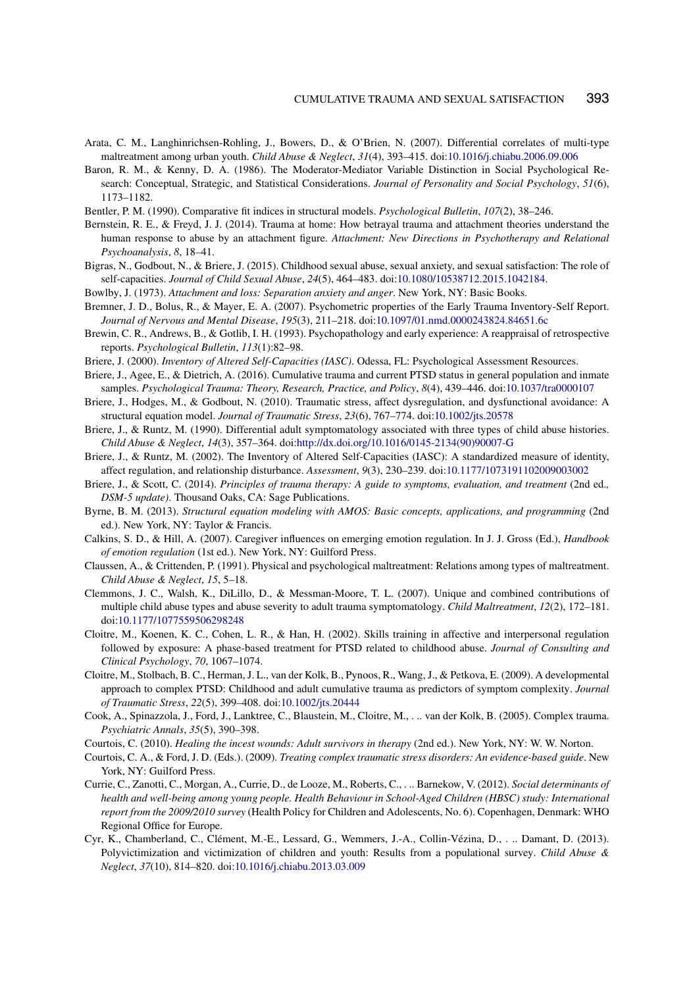- <span id="page-17-6"></span>Arata, C. M., Langhinrichsen-Rohling, J., Bowers, D., & O'Brien, N. (2007). Differential correlates of multi-type maltreatment among urban youth. *Child Abuse & Neglect*, *31*(4), 393–415. doi[:10.1016/j.chiabu.2006.09.006](http://dx.doi.org/10.1016/j.chiabu.2006.09.006)
- <span id="page-17-21"></span>Baron, R. M., & Kenny, D. A. (1986). The Moderator-Mediator Variable Distinction in Social Psychological Research: Conceptual, Strategic, and Statistical Considerations. *Journal of Personality and Social Psychology*, *51*(6), 1173–1182.
- Bentler, P. M. (1990). Comparative fit indices in structural models. *Psychological Bulletin*, *107*(2), 38–246.
- <span id="page-17-20"></span><span id="page-17-7"></span>Bernstein, R. E., & Freyd, J. J. (2014). Trauma at home: How betrayal trauma and attachment theories understand the human response to abuse by an attachment figure. *Attachment: New Directions in Psychotherapy and Relational Psychoanalysis*, *8*, 18–41.
- <span id="page-17-8"></span>Bigras, N., Godbout, N., & Briere, J. (2015). Childhood sexual abuse, sexual anxiety, and sexual satisfaction: The role of self-capacities. *Journal of Child Sexual Abuse*, *24*(5), 464–483. doi[:10.1080/10538712.2015.1042184.](http://dx.doi.org/10.1080/10538712.2015.1042184)
- Bowlby, J. (1973). *Attachment and loss: Separation anxiety and anger*. New York, NY: Basic Books.
- <span id="page-17-17"></span><span id="page-17-10"></span>Bremner, J. D., Bolus, R., & Mayer, E. A. (2007). Psychometric properties of the Early Trauma Inventory-Self Report. *Journal of Nervous and Mental Disease*, *195*(3), 211–218. doi[:10.1097/01.nmd.0000243824.84651.6c](http://dx.doi.org/10.1097/01.nmd.0000243824.84651.6c)
- <span id="page-17-23"></span>Brewin, C. R., Andrews, B., & Gotlib, I. H. (1993). Psychopathology and early experience: A reappraisal of retrospective reports. *Psychological Bulletin*, *113*(1):82–98.
- Briere, J. (2000). *Inventory of Altered Self-Capacities (IASC)*. Odessa, FL: Psychological Assessment Resources.
- <span id="page-17-18"></span><span id="page-17-4"></span>Briere, J., Agee, E., & Dietrich, A. (2016). Cumulative trauma and current PTSD status in general population and inmate samples. *Psychological Trauma: Theory, Research, Practice, and Policy*, *8*(4), 439–446. doi[:10.1037/tra0000107](http://dx.doi.org/10.1037/tra0000107)
- <span id="page-17-5"></span>Briere, J., Hodges, M., & Godbout, N. (2010). Traumatic stress, affect dysregulation, and dysfunctional avoidance: A structural equation model. *Journal of Traumatic Stress*, *23*(6), 767–774. doi[:10.1002/jts.20578](http://dx.doi.org/10.1002/jts.20578)
- <span id="page-17-14"></span>Briere, J., & Runtz, M. (1990). Differential adult symptomatology associated with three types of child abuse histories. *Child Abuse & Neglect*, *14*(3), 357–364. doi[:http://dx.doi.org/10.1016/0145-2134\(90\)90007-G](http://dx.doi.org/http://dx.doi.org/10.1016/0145-2134(90)90007-G)
- <span id="page-17-9"></span>Briere, J., & Runtz, M. (2002). The Inventory of Altered Self-Capacities (IASC): A standardized measure of identity, affect regulation, and relationship disturbance. *Assessment*, *9*(3), 230–239. doi[:10.1177/1073191102009003002](http://dx.doi.org/10.1177/1073191102009003002)
- <span id="page-17-12"></span>Briere, J., & Scott, C. (2014). *Principles of trauma therapy: A guide to symptoms, evaluation, and treatment* (2nd ed.*, DSM-5 update)*. Thousand Oaks, CA: Sage Publications.
- <span id="page-17-19"></span>Byrne, B. M. (2013). *Structural equation modeling with AMOS: Basic concepts, applications, and programming* (2nd ed.). New York, NY: Taylor & Francis.
- <span id="page-17-11"></span>Calkins, S. D., & Hill, A. (2007). Caregiver influences on emerging emotion regulation. In J. J. Gross (Ed.), *Handbook of emotion regulation* (1st ed.). New York, NY: Guilford Press.
- <span id="page-17-3"></span>Claussen, A., & Crittenden, P. (1991). Physical and psychological maltreatment: Relations among types of maltreatment. *Child Abuse & Neglect*, *15*, 5–18.
- <span id="page-17-15"></span>Clemmons, J. C., Walsh, K., DiLillo, D., & Messman-Moore, T. L. (2007). Unique and combined contributions of multiple child abuse types and abuse severity to adult trauma symptomatology. *Child Maltreatment*, *12*(2), 172–181. doi[:10.1177/1077559506298248](http://dx.doi.org/10.1177/1077559506298248)
- <span id="page-17-24"></span>Cloitre, M., Koenen, K. C., Cohen, L. R., & Han, H. (2002). Skills training in affective and interpersonal regulation followed by exposure: A phase-based treatment for PTSD related to childhood abuse. *Journal of Consulting and Clinical Psychology*, *70*, 1067–1074.
- <span id="page-17-2"></span>Cloitre, M., Stolbach, B. C., Herman, J. L., van der Kolk, B., Pynoos, R., Wang, J., & Petkova, E. (2009). A developmental approach to complex PTSD: Childhood and adult cumulative trauma as predictors of symptom complexity. *Journal of Traumatic Stress*, *22*(5), 399–408. doi[:10.1002/jts.20444](http://dx.doi.org/10.1002/jts.20444)
- <span id="page-17-1"></span>Cook, A., Spinazzola, J., Ford, J., Lanktree, C., Blaustein, M., Cloitre, M., . .. van der Kolk, B. (2005). Complex trauma. *Psychiatric Annals*, *35*(5), 390–398.
- Courtois, C. (2010). *Healing the incest wounds: Adult survivors in therapy* (2nd ed.). New York, NY: W. W. Norton.
- <span id="page-17-16"></span><span id="page-17-13"></span>Courtois, C. A., & Ford, J. D. (Eds.). (2009). *Treating complex traumatic stress disorders: An evidence-based guide*. New York, NY: Guilford Press.
- <span id="page-17-22"></span>Currie, C., Zanotti, C., Morgan, A., Currie, D., de Looze, M., Roberts, C., . .. Barnekow, V. (2012). *Social determinants of health and well-being among young people. Health Behaviour in School-Aged Children (HBSC) study: International report from the 2009/2010 survey* (Health Policy for Children and Adolescents, No. 6). Copenhagen, Denmark: WHO Regional Office for Europe.
- <span id="page-17-0"></span>Cyr, K., Chamberland, C., Clément, M.-E., Lessard, G., Wemmers, J.-A., Collin-Vézina, D., . .. Damant, D. (2013). Polyvictimization and victimization of children and youth: Results from a populational survey. *Child Abuse & Neglect*, *37*(10), 814–820. doi[:10.1016/j.chiabu.2013.03.009](http://dx.doi.org/10.1016/j.chiabu.2013.03.009)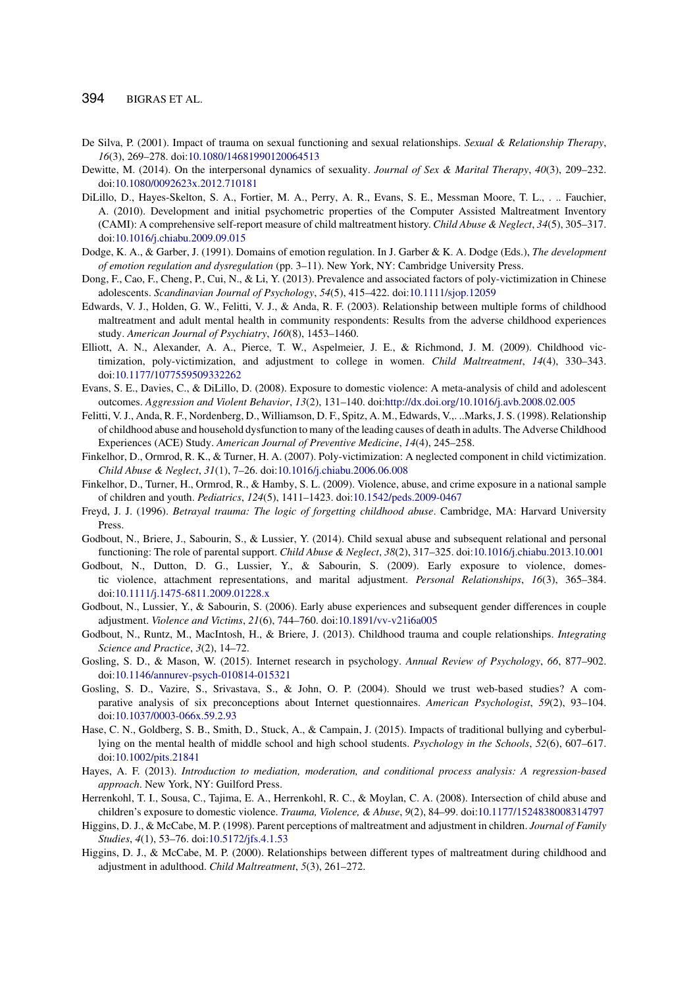# 394 BIGRAS ET AL.

- <span id="page-18-7"></span>De Silva, P. (2001). Impact of trauma on sexual functioning and sexual relationships. *Sexual & Relationship Therapy*, *16*(3), 269–278. doi[:10.1080/14681990120064513](http://dx.doi.org/10.1080/14681990120064513)
- <span id="page-18-21"></span>Dewitte, M. (2014). On the interpersonal dynamics of sexuality. *Journal of Sex & Marital Therapy*, *40*(3), 209–232. doi[:10.1080/0092623x.2012.710181](http://dx.doi.org/10.1080/0092623x.2012.710181)
- <span id="page-18-14"></span>DiLillo, D., Hayes-Skelton, S. A., Fortier, M. A., Perry, A. R., Evans, S. E., Messman Moore, T. L., . .. Fauchier, A. (2010). Development and initial psychometric properties of the Computer Assisted Maltreatment Inventory (CAMI): A comprehensive self-report measure of child maltreatment history. *Child Abuse & Neglect*, *34*(5), 305–317. doi[:10.1016/j.chiabu.2009.09.015](http://dx.doi.org/10.1016/j.chiabu.2009.09.015)
- <span id="page-18-8"></span>Dodge, K. A., & Garber, J. (1991). Domains of emotion regulation. In J. Garber & K. A. Dodge (Eds.), *The development of emotion regulation and dysregulation* (pp. 3–11). New York, NY: Cambridge University Press.
- <span id="page-18-13"></span>Dong, F., Cao, F., Cheng, P., Cui, N., & Li, Y. (2013). Prevalence and associated factors of poly-victimization in Chinese adolescents. *Scandinavian Journal of Psychology*, *54*(5), 415–422. doi[:10.1111/sjop.12059](http://dx.doi.org/10.1111/sjop.12059)
- <span id="page-18-10"></span>Edwards, V. J., Holden, G. W., Felitti, V. J., & Anda, R. F. (2003). Relationship between multiple forms of childhood maltreatment and adult mental health in community respondents: Results from the adverse childhood experiences study. *American Journal of Psychiatry*, *160*(8), 1453–1460.
- <span id="page-18-5"></span>Elliott, A. N., Alexander, A. A., Pierce, T. W., Aspelmeier, J. E., & Richmond, J. M. (2009). Childhood victimization, poly-victimization, and adjustment to college in women. *Child Maltreatment*, *14*(4), 330–343. doi[:10.1177/1077559509332262](http://dx.doi.org/10.1177/1077559509332262)
- <span id="page-18-17"></span>Evans, S. E., Davies, C., & DiLillo, D. (2008). Exposure to domestic violence: A meta-analysis of child and adolescent outcomes. *Aggression and Violent Behavior*, *13*(2), 131–140. doi[:http://dx.doi.org/10.1016/j.avb.2008.02.005](http://dx.doi.org/http://dx.doi.org/10.1016/j.avb.2008.02.005)
- <span id="page-18-1"></span>Felitti, V. J., Anda, R. F., Nordenberg, D., Williamson, D. F., Spitz, A. M., Edwards, V.,. ..Marks, J. S. (1998). Relationship of childhood abuse and household dysfunction to many of the leading causes of death in adults. The Adverse Childhood Experiences (ACE) Study. *American Journal of Preventive Medicine*, *14*(4), 245–258.
- <span id="page-18-4"></span>Finkelhor, D., Ormrod, R. K., & Turner, H. A. (2007). Poly-victimization: A neglected component in child victimization. *Child Abuse & Neglect*, *31*(1), 7–26. doi[:10.1016/j.chiabu.2006.06.008](http://dx.doi.org/10.1016/j.chiabu.2006.06.008)
- <span id="page-18-0"></span>Finkelhor, D., Turner, H., Ormrod, R., & Hamby, S. L. (2009). Violence, abuse, and crime exposure in a national sample of children and youth. *Pediatrics*, *124*(5), 1411–1423. doi[:10.1542/peds.2009-0467](http://dx.doi.org/10.1542/peds.2009-0467)
- <span id="page-18-6"></span>Freyd, J. J. (1996). *Betrayal trauma: The logic of forgetting childhood abuse*. Cambridge, MA: Harvard University Press.
- <span id="page-18-9"></span>Godbout, N., Briere, J., Sabourin, S., & Lussier, Y. (2014). Child sexual abuse and subsequent relational and personal functioning: The role of parental support. *Child Abuse & Neglect*, *38*(2), 317–325. doi[:10.1016/j.chiabu.2013.10.001](http://dx.doi.org/10.1016/j.chiabu.2013.10.001)
- <span id="page-18-15"></span>Godbout, N., Dutton, D. G., Lussier, Y., & Sabourin, S. (2009). Early exposure to violence, domestic violence, attachment representations, and marital adjustment. *Personal Relationships*, *16*(3), 365–384. doi[:10.1111/j.1475-6811.2009.01228.x](http://dx.doi.org/10.1111/j.1475-6811.2009.01228.x)
- <span id="page-18-2"></span>Godbout, N., Lussier, Y., & Sabourin, S. (2006). Early abuse experiences and subsequent gender differences in couple adjustment. *Violence and Victims*, *21*(6), 744–760. doi[:10.1891/vv-v21i6a005](http://dx.doi.org/10.1891/vv-v21i6a005)
- Godbout, N., Runtz, M., MacIntosh, H., & Briere, J. (2013). Childhood trauma and couple relationships. *Integrating Science and Practice*, *3*(2), 14–72.
- <span id="page-18-19"></span>Gosling, S. D., & Mason, W. (2015). Internet research in psychology. *Annual Review of Psychology*, *66*, 877–902. doi[:10.1146/annurev-psych-010814-015321](http://dx.doi.org/10.1146/annurev-psych-010814-015321)
- <span id="page-18-20"></span>Gosling, S. D., Vazire, S., Srivastava, S., & John, O. P. (2004). Should we trust web-based studies? A comparative analysis of six preconceptions about Internet questionnaires. *American Psychologist*, *59*(2), 93–104. doi[:10.1037/0003-066x.59.2.93](http://dx.doi.org/10.1037/0003-066x.59.2.93)
- <span id="page-18-18"></span>Hase, C. N., Goldberg, S. B., Smith, D., Stuck, A., & Campain, J. (2015). Impacts of traditional bullying and cyberbullying on the mental health of middle school and high school students. *Psychology in the Schools*, *52*(6), 607–617. doi[:10.1002/pits.21841](http://dx.doi.org/10.1002/pits.21841)
- <span id="page-18-16"></span>Hayes, A. F. (2013). *Introduction to mediation, moderation, and conditional process analysis: A regression-based approach*. New York, NY: Guilford Press.
- <span id="page-18-3"></span>Herrenkohl, T. I., Sousa, C., Tajima, E. A., Herrenkohl, R. C., & Moylan, C. A. (2008). Intersection of child abuse and children's exposure to domestic violence. *Trauma, Violence, & Abuse*, *9*(2), 84–99. doi[:10.1177/1524838008314797](http://dx.doi.org/10.1177/1524838008314797)
- <span id="page-18-11"></span>Higgins, D. J., & McCabe, M. P. (1998). Parent perceptions of maltreatment and adjustment in children. *Journal of Family Studies*, *4*(1), 53–76. doi[:10.5172/jfs.4.1.53](http://dx.doi.org/10.5172/jfs.4.1.53)
- <span id="page-18-12"></span>Higgins, D. J., & McCabe, M. P. (2000). Relationships between different types of maltreatment during childhood and adjustment in adulthood. *Child Maltreatment*, *5*(3), 261–272.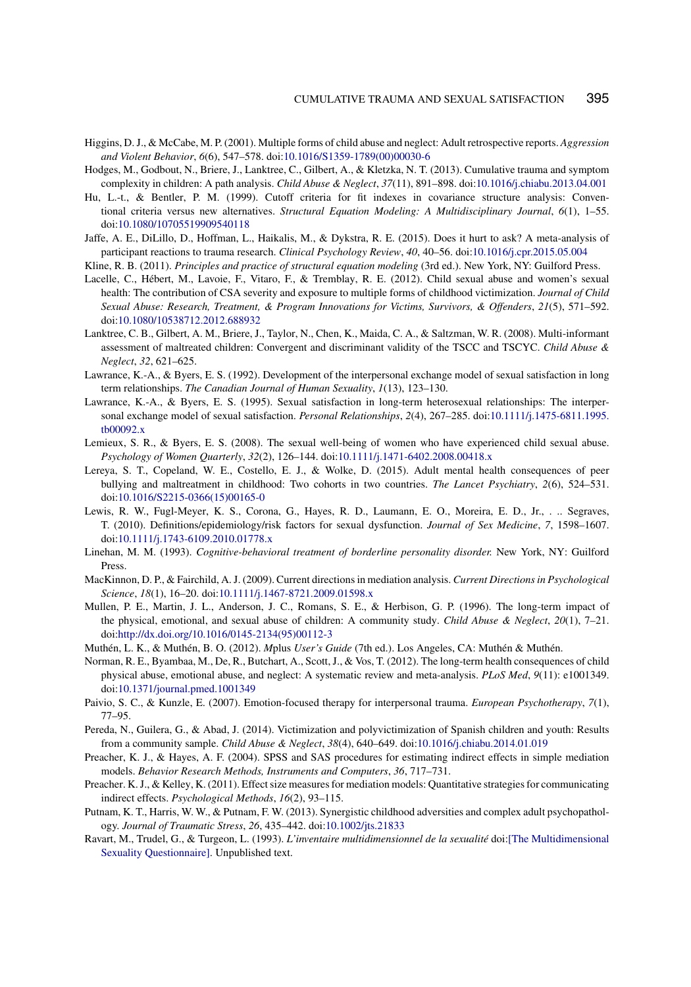- <span id="page-19-3"></span>Higgins, D. J., & McCabe, M. P. (2001). Multiple forms of child abuse and neglect: Adult retrospective reports. *Aggression and Violent Behavior*, *6*(6), 547–578. doi[:10.1016/S1359-1789\(00\)00030-6](http://dx.doi.org/10.1016/S1359-1789(00)00030-6)
- <span id="page-19-1"></span>Hodges, M., Godbout, N., Briere, J., Lanktree, C., Gilbert, A., & Kletzka, N. T. (2013). Cumulative trauma and symptom complexity in children: A path analysis. *Child Abuse & Neglect*, *37*(11), 891–898. doi[:10.1016/j.chiabu.2013.04.001](http://dx.doi.org/10.1016/j.chiabu.2013.04.001)
- <span id="page-19-17"></span>Hu, L.-t., & Bentler, P. M. (1999). Cutoff criteria for fit indexes in covariance structure analysis: Conventional criteria versus new alternatives. *Structural Equation Modeling: A Multidisciplinary Journal*, *6*(1), 1–55. doi[:10.1080/10705519909540118](http://dx.doi.org/10.1080/10705519909540118)
- <span id="page-19-21"></span>Jaffe, A. E., DiLillo, D., Hoffman, L., Haikalis, M., & Dykstra, R. E. (2015). Does it hurt to ask? A meta-analysis of participant reactions to trauma research. *Clinical Psychology Review*, *40*, 40–56. doi[:10.1016/j.cpr.2015.05.004](http://dx.doi.org/10.1016/j.cpr.2015.05.004)
- Kline, R. B. (2011). *Principles and practice of structural equation modeling* (3rd ed.). New York, NY: Guilford Press.
- <span id="page-19-15"></span><span id="page-19-9"></span>Lacelle, C., Hebert, M., Lavoie, F., Vitaro, F., & Tremblay, R. E. (2012). Child sexual abuse and women's sexual ´ health: The contribution of CSA severity and exposure to multiple forms of childhood victimization. *Journal of Child Sexual Abuse: Research, Treatment, & Program Innovations for Victims, Survivors, & Offenders*, *21*(5), 571–592. doi[:10.1080/10538712.2012.688932](http://dx.doi.org/10.1080/10538712.2012.688932)
- <span id="page-19-2"></span>Lanktree, C. B., Gilbert, A. M., Briere, J., Taylor, N., Chen, K., Maida, C. A., & Saltzman, W. R. (2008). Multi-informant assessment of maltreated children: Convergent and discriminant validity of the TSCC and TSCYC. *Child Abuse & Neglect*, *32*, 621–625.
- <span id="page-19-14"></span>Lawrance, K.-A., & Byers, E. S. (1992). Development of the interpersonal exchange model of sexual satisfaction in long term relationships. *The Canadian Journal of Human Sexuality*, *1*(13), 123–130.
- <span id="page-19-13"></span>Lawrance, K.-A., & Byers, E. S. (1995). Sexual satisfaction in long-term heterosexual relationships: The interpersonal exchange model of sexual satisfaction. *Personal Relationships*, *2*(4), 267–285. doi[:10.1111/j.1475-6811.1995.](http://dx.doi.org/10.1111/j.1475-6811.1995.tb00092.x) [tb00092.x](http://dx.doi.org/10.1111/j.1475-6811.1995.tb00092.x)
- <span id="page-19-5"></span>Lemieux, S. R., & Byers, E. S. (2008). The sexual well-being of women who have experienced child sexual abuse. *Psychology of Women Quarterly*, *32*(2), 126–144. doi[:10.1111/j.1471-6402.2008.00418.x](http://dx.doi.org/10.1111/j.1471-6402.2008.00418.x)
- <span id="page-19-11"></span>Lereya, S. T., Copeland, W. E., Costello, E. J., & Wolke, D. (2015). Adult mental health consequences of peer bullying and maltreatment in childhood: Two cohorts in two countries. *The Lancet Psychiatry*, *2*(6), 524–531. doi[:10.1016/S2215-0366\(15\)00165-0](http://dx.doi.org/10.1016/S2215-0366(15)00165-0)
- <span id="page-19-7"></span>Lewis, R. W., Fugl-Meyer, K. S., Corona, G., Hayes, R. D., Laumann, E. O., Moreira, E. D., Jr., . .. Segraves, T. (2010). Definitions/epidemiology/risk factors for sexual dysfunction. *Journal of Sex Medicine*, *7*, 1598–1607. doi[:10.1111/j.1743-6109.2010.01778.x](http://dx.doi.org/10.1111/j.1743-6109.2010.01778.x)
- <span id="page-19-8"></span>Linehan, M. M. (1993). *Cognitive-behavioral treatment of borderline personality disorder.* New York, NY: Guilford Press.
- <span id="page-19-18"></span>MacKinnon, D. P., & Fairchild, A. J. (2009). Current directions in mediation analysis. *Current Directions in Psychological Science*, *18*(1), 16–20. doi[:10.1111/j.1467-8721.2009.01598.x](http://dx.doi.org/10.1111/j.1467-8721.2009.01598.x)
- <span id="page-19-10"></span>Mullen, P. E., Martin, J. L., Anderson, J. C., Romans, S. E., & Herbison, G. P. (1996). The long-term impact of the physical, emotional, and sexual abuse of children: A community study. *Child Abuse & Neglect*, *20*(1), 7–21. doi[:http://dx.doi.org/10.1016/0145-2134\(95\)00112-3](http://dx.doi.org/http://dx.doi.org/10.1016/0145-2134(95)00112-3)
- Muthén, L. K., & Muthén, B. O. (2012). *Mplus User's Guide* (7th ed.). Los Angeles, CA: Muthén & Muthén.
- <span id="page-19-16"></span><span id="page-19-6"></span>Norman, R. E., Byambaa, M., De, R., Butchart, A., Scott, J., & Vos, T. (2012). The long-term health consequences of child physical abuse, emotional abuse, and neglect: A systematic review and meta-analysis. *PLoS Med*, *9*(11): e1001349. doi[:10.1371/journal.pmed.1001349](http://dx.doi.org/10.1371/journal.pmed.1001349)
- <span id="page-19-22"></span>Paivio, S. C., & Kunzle, E. (2007). Emotion-focused therapy for interpersonal trauma. *European Psychotherapy*, *7*(1), 77–95.
- <span id="page-19-0"></span>Pereda, N., Guilera, G., & Abad, J. (2014). Victimization and polyvictimization of Spanish children and youth: Results from a community sample. *Child Abuse & Neglect*, *38*(4), 640–649. doi[:10.1016/j.chiabu.2014.01.019](http://dx.doi.org/10.1016/j.chiabu.2014.01.019)
- <span id="page-19-19"></span>Preacher, K. J., & Hayes, A. F. (2004). SPSS and SAS procedures for estimating indirect effects in simple mediation models. *Behavior Research Methods, Instruments and Computers*, *36*, 717–731.
- <span id="page-19-20"></span>Preacher. K. J., & Kelley, K. (2011). Effect size measures for mediation models: Quantitative strategies for communicating indirect effects. *Psychological Methods*, *16*(2), 93–115.
- <span id="page-19-4"></span>Putnam, K. T., Harris, W. W., & Putnam, F. W. (2013). Synergistic childhood adversities and complex adult psychopathology. *Journal of Traumatic Stress*, *26*, 435–442. doi[:10.1002/jts.21833](http://dx.doi.org/10.1002/jts.21833)
- <span id="page-19-12"></span>Ravart, M., Trudel, G., & Turgeon, L. (1993). *L'inventaire multidimensionnel de la sexualite´* doi:[The Multidimensional Sexuality Questionnaire]. Unpublished text.